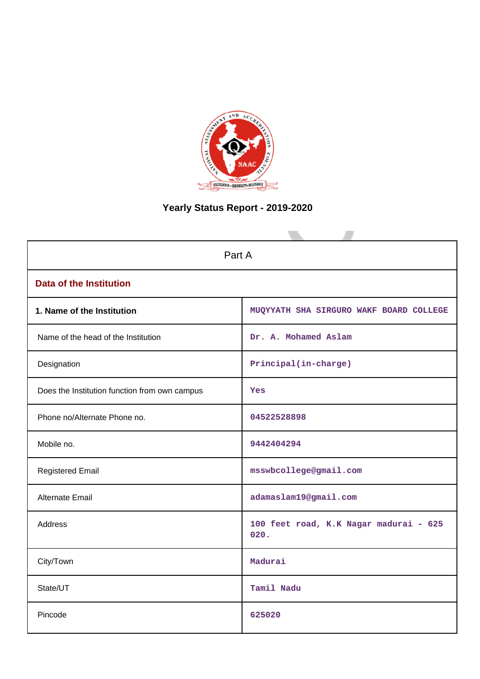

# **Yearly Status Report - 2019-2020**

| Part A                                        |                                                |  |  |  |  |
|-----------------------------------------------|------------------------------------------------|--|--|--|--|
| <b>Data of the Institution</b>                |                                                |  |  |  |  |
| 1. Name of the Institution                    | MUQYYATH SHA SIRGURO WAKF BOARD COLLEGE        |  |  |  |  |
| Name of the head of the Institution           | Dr. A. Mohamed Aslam                           |  |  |  |  |
| Designation                                   | Principal(in-charge)                           |  |  |  |  |
| Does the Institution function from own campus | Yes                                            |  |  |  |  |
| Phone no/Alternate Phone no.                  | 04522528898                                    |  |  |  |  |
| Mobile no.                                    | 9442404294                                     |  |  |  |  |
| <b>Registered Email</b>                       | msswbcollege@gmail.com                         |  |  |  |  |
| Alternate Email                               | adamaslam19@gmail.com                          |  |  |  |  |
| Address                                       | 100 feet road, K.K Nagar madurai - 625<br>020. |  |  |  |  |
| City/Town                                     | Madurai                                        |  |  |  |  |
| State/UT                                      | Tamil Nadu                                     |  |  |  |  |
| Pincode                                       | 625020                                         |  |  |  |  |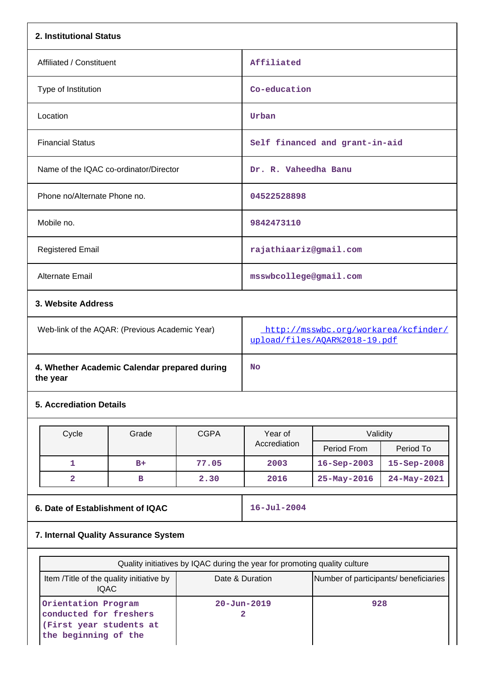| 2. Institutional Status                                  |       |             |                                                                       |                                |             |  |
|----------------------------------------------------------|-------|-------------|-----------------------------------------------------------------------|--------------------------------|-------------|--|
| Affiliated / Constituent                                 |       |             | Affiliated                                                            |                                |             |  |
| Type of Institution                                      |       |             | Co-education                                                          |                                |             |  |
| Location                                                 |       |             | Urban                                                                 |                                |             |  |
| <b>Financial Status</b>                                  |       |             |                                                                       | Self financed and grant-in-aid |             |  |
| Name of the IQAC co-ordinator/Director                   |       |             | Dr. R. Vaheedha Banu                                                  |                                |             |  |
| Phone no/Alternate Phone no.                             |       |             | 04522528898                                                           |                                |             |  |
| Mobile no.                                               |       |             |                                                                       | 9842473110                     |             |  |
| <b>Registered Email</b>                                  |       |             | rajathiaariz@gmail.com                                                |                                |             |  |
| Alternate Email                                          |       |             | msswbcollege@gmail.com                                                |                                |             |  |
| 3. Website Address                                       |       |             |                                                                       |                                |             |  |
| Web-link of the AQAR: (Previous Academic Year)           |       |             | http://msswbc.org/workarea/kcfinder/<br>upload/files/AQAR%2018-19.pdf |                                |             |  |
| 4. Whether Academic Calendar prepared during<br>the year |       |             | No                                                                    |                                |             |  |
| <b>5. Accrediation Details</b>                           |       |             |                                                                       |                                |             |  |
| Cycle                                                    | Grade | <b>CGPA</b> | Year of                                                               | Validity                       |             |  |
|                                                          |       |             | Accrediation                                                          | Period From                    | Period To   |  |
| $\mathbf{1}$                                             | $B+$  | 77.05       | 2003                                                                  | $16 - Sep - 2003$              | 15-Sep-2008 |  |
| $\overline{\mathbf{2}}$                                  | в     | 2.30        | 2016                                                                  | 25-May-2016                    | 24-May-2021 |  |

**6. Date of Establishment of IQAC** 16-Jul-2004

# **7. Internal Quality Assurance System**

| Quality initiatives by IQAC during the year for promoting quality culture                        |                                       |     |  |  |  |
|--------------------------------------------------------------------------------------------------|---------------------------------------|-----|--|--|--|
| Item / Title of the quality initiative by<br>IQAC.                                               | Number of participants/ beneficiaries |     |  |  |  |
| Orientation Program<br>conducted for freshers<br>(First year students at<br>the beginning of the | $20 - Jun - 2019$                     | 928 |  |  |  |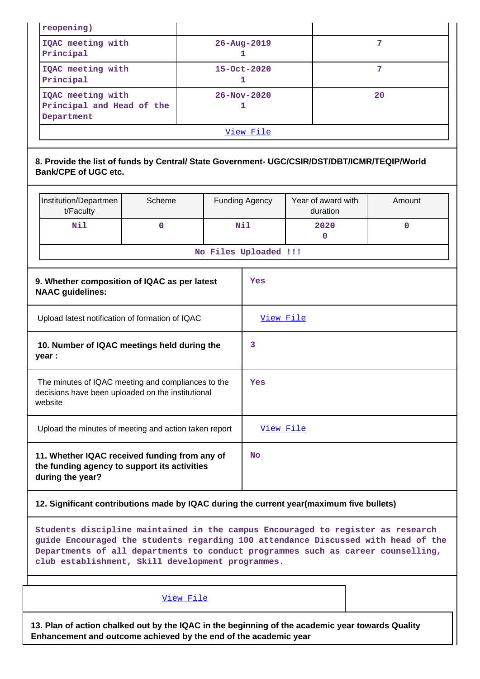| reopening)                                                                                                                                                                                                                                               |             |                                   |                         |                                |              |
|----------------------------------------------------------------------------------------------------------------------------------------------------------------------------------------------------------------------------------------------------------|-------------|-----------------------------------|-------------------------|--------------------------------|--------------|
| IQAC meeting with<br>Principal                                                                                                                                                                                                                           |             |                                   | $26 - Aug - 2019$<br>1. |                                | 7            |
| IQAC meeting with<br>Principal                                                                                                                                                                                                                           |             | $15 - Oct - 2020$<br>$\mathbf{1}$ |                         | 7                              |              |
| IQAC meeting with<br>Principal and Head of the<br>Department                                                                                                                                                                                             |             |                                   | $26 - Nov - 2020$<br>1  |                                | 20           |
|                                                                                                                                                                                                                                                          |             |                                   | View File               |                                |              |
| 8. Provide the list of funds by Central/ State Government- UGC/CSIR/DST/DBT/ICMR/TEQIP/World<br><b>Bank/CPE of UGC etc.</b>                                                                                                                              |             |                                   |                         |                                |              |
| Institution/Departmen<br>t/Faculty                                                                                                                                                                                                                       | Scheme      |                                   | <b>Funding Agency</b>   | Year of award with<br>duration | Amount       |
| Nil                                                                                                                                                                                                                                                      | $\mathbf 0$ |                                   | <b>Nil</b>              | 2020<br>$\mathbf{0}$           | $\mathbf{0}$ |
|                                                                                                                                                                                                                                                          |             | No Files Uploaded !!!             |                         |                                |              |
| 9. Whether composition of IQAC as per latest<br><b>NAAC</b> guidelines:                                                                                                                                                                                  |             |                                   | Yes                     |                                |              |
| Upload latest notification of formation of IQAC<br>10. Number of IQAC meetings held during the<br>year :                                                                                                                                                 |             |                                   | View File<br>3          |                                |              |
| The minutes of IQAC meeting and compliances to the<br>decisions have been uploaded on the institutional<br>website                                                                                                                                       |             |                                   | Yes                     |                                |              |
| Upload the minutes of meeting and action taken report                                                                                                                                                                                                    |             |                                   | View File               |                                |              |
| 11. Whether IQAC received funding from any of<br>the funding agency to support its activities<br>during the year?                                                                                                                                        |             |                                   | <b>No</b>               |                                |              |
| 12. Significant contributions made by IQAC during the current year(maximum five bullets)                                                                                                                                                                 |             |                                   |                         |                                |              |
| Students discipline maintained in the campus Encouraged to register as research<br>guide Encouraged the students regarding 100 attendance Discussed with head of the<br>Departments of all departments to conduct programmes such as career counselling, |             |                                   |                         |                                |              |

**club establishment, Skill development programmes.**

# [View File](https://assessmentonline.naac.gov.in/public/Postacc/Contribution/9012_Contribution.xlsx)

**13. Plan of action chalked out by the IQAC in the beginning of the academic year towards Quality Enhancement and outcome achieved by the end of the academic year**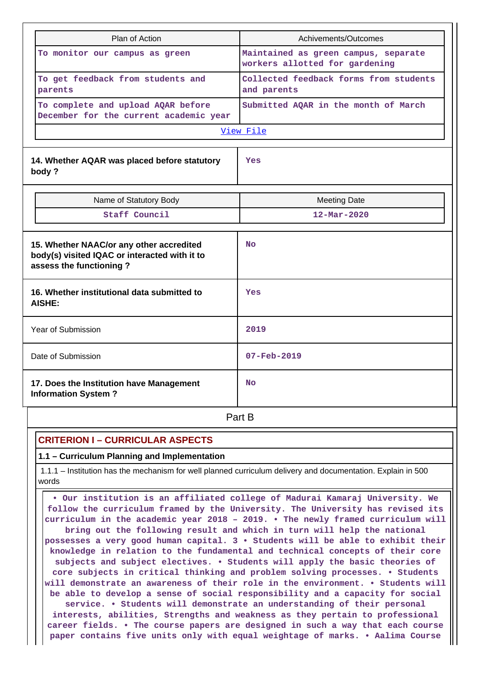| Plan of Action                                                                                                       | Achivements/Outcomes                                                   |  |  |
|----------------------------------------------------------------------------------------------------------------------|------------------------------------------------------------------------|--|--|
| To monitor our campus as green                                                                                       | Maintained as green campus, separate<br>workers allotted for gardening |  |  |
| To get feedback from students and<br>parents                                                                         | Collected feedback forms from students<br>and parents                  |  |  |
| To complete and upload AQAR before<br>December for the current academic year                                         | Submitted AQAR in the month of March                                   |  |  |
|                                                                                                                      | View File                                                              |  |  |
| 14. Whether AQAR was placed before statutory<br>body?                                                                | Yes                                                                    |  |  |
| Name of Statutory Body                                                                                               | <b>Meeting Date</b>                                                    |  |  |
| Staff Council                                                                                                        | $12 - \text{Mar} - 2020$                                               |  |  |
| 15. Whether NAAC/or any other accredited<br>body(s) visited IQAC or interacted with it to<br>assess the functioning? | <b>No</b>                                                              |  |  |
| 16. Whether institutional data submitted to<br><b>AISHE:</b>                                                         | Yes                                                                    |  |  |
| Year of Submission                                                                                                   | 2019                                                                   |  |  |
| Date of Submission                                                                                                   | $07 - Feb - 2019$                                                      |  |  |
| 17. Does the Institution have Management<br><b>Information System?</b>                                               | <b>No</b>                                                              |  |  |

**Part B** 

# **CRITERION I – CURRICULAR ASPECTS**

**1.1 – Curriculum Planning and Implementation**

 1.1.1 – Institution has the mechanism for well planned curriculum delivery and documentation. Explain in 500 words

 **• Our institution is an affiliated college of Madurai Kamaraj University. We follow the curriculum framed by the University. The University has revised its curriculum in the academic year 2018 – 2019. • The newly framed curriculum will bring out the following result and which in turn will help the national possesses a very good human capital. 3 • Students will be able to exhibit their knowledge in relation to the fundamental and technical concepts of their core subjects and subject electives. • Students will apply the basic theories of core subjects in critical thinking and problem solving processes. • Students will demonstrate an awareness of their role in the environment. • Students will be able to develop a sense of social responsibility and a capacity for social service. • Students will demonstrate an understanding of their personal interests, abilities, Strengths and weakness as they pertain to professional career fields. • The course papers are designed in such a way that each course paper contains five units only with equal weightage of marks. • Aalima Course**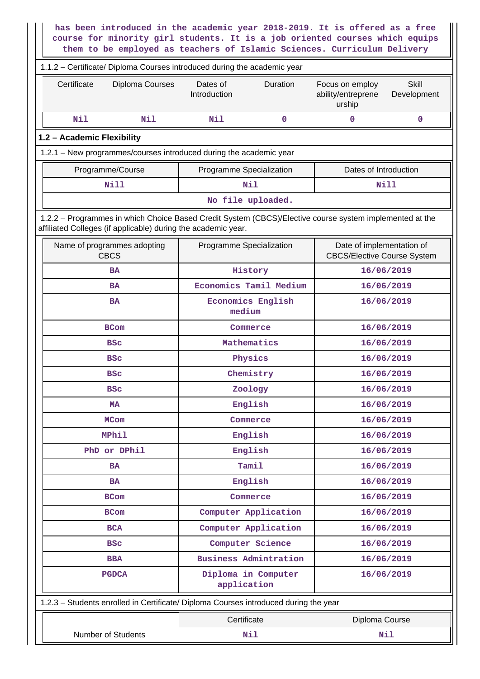| has been introduced in the academic year 2018-2019. It is offered as a free<br>course for minority girl students. It is a job oriented courses which equips<br>them to be employed as teachers of Islamic Sciences. Curriculum Delivery |                                                  |                                                                                |  |  |  |  |  |  |
|-----------------------------------------------------------------------------------------------------------------------------------------------------------------------------------------------------------------------------------------|--------------------------------------------------|--------------------------------------------------------------------------------|--|--|--|--|--|--|
| 1.1.2 - Certificate/ Diploma Courses introduced during the academic year                                                                                                                                                                |                                                  |                                                                                |  |  |  |  |  |  |
| Certificate<br>Diploma Courses                                                                                                                                                                                                          | Dates of<br>Duration<br>Introduction             | <b>Skill</b><br>Focus on employ<br>ability/entreprene<br>Development<br>urship |  |  |  |  |  |  |
| Nil<br>Nil                                                                                                                                                                                                                              | Nil<br>$\mathbf 0$                               | $\mathbf 0$<br>0                                                               |  |  |  |  |  |  |
| 1.2 - Academic Flexibility                                                                                                                                                                                                              |                                                  |                                                                                |  |  |  |  |  |  |
| 1.2.1 - New programmes/courses introduced during the academic year                                                                                                                                                                      |                                                  |                                                                                |  |  |  |  |  |  |
| Programme/Course                                                                                                                                                                                                                        | Programme Specialization                         | Dates of Introduction                                                          |  |  |  |  |  |  |
| <b>Nill</b>                                                                                                                                                                                                                             | Nil                                              | Nill                                                                           |  |  |  |  |  |  |
|                                                                                                                                                                                                                                         | No file uploaded.                                |                                                                                |  |  |  |  |  |  |
| 1.2.2 - Programmes in which Choice Based Credit System (CBCS)/Elective course system implemented at the<br>affiliated Colleges (if applicable) during the academic year.                                                                |                                                  |                                                                                |  |  |  |  |  |  |
| Name of programmes adopting<br><b>CBCS</b>                                                                                                                                                                                              | Programme Specialization                         | Date of implementation of<br><b>CBCS/Elective Course System</b>                |  |  |  |  |  |  |
| <b>BA</b>                                                                                                                                                                                                                               | History                                          | 16/06/2019                                                                     |  |  |  |  |  |  |
| <b>BA</b>                                                                                                                                                                                                                               | Economics Tamil Medium                           | 16/06/2019                                                                     |  |  |  |  |  |  |
| <b>BA</b>                                                                                                                                                                                                                               | <b>Economics English</b><br>16/06/2019<br>medium |                                                                                |  |  |  |  |  |  |
| <b>BCom</b>                                                                                                                                                                                                                             | Commerce                                         | 16/06/2019                                                                     |  |  |  |  |  |  |
| <b>BSC</b>                                                                                                                                                                                                                              | Mathematics                                      | 16/06/2019                                                                     |  |  |  |  |  |  |
| <b>BSC</b>                                                                                                                                                                                                                              | Physics                                          | 16/06/2019                                                                     |  |  |  |  |  |  |
| <b>BSC</b>                                                                                                                                                                                                                              | Chemistry                                        | 16/06/2019                                                                     |  |  |  |  |  |  |
| <b>BSC</b>                                                                                                                                                                                                                              | Zoology                                          | 16/06/2019                                                                     |  |  |  |  |  |  |
| <b>MA</b>                                                                                                                                                                                                                               | English                                          | 16/06/2019                                                                     |  |  |  |  |  |  |
| <b>MCom</b>                                                                                                                                                                                                                             | Commerce                                         | 16/06/2019                                                                     |  |  |  |  |  |  |
| MPhil                                                                                                                                                                                                                                   | English                                          | 16/06/2019                                                                     |  |  |  |  |  |  |
| PhD or DPhil                                                                                                                                                                                                                            | English                                          | 16/06/2019                                                                     |  |  |  |  |  |  |
| <b>BA</b>                                                                                                                                                                                                                               | Tamil                                            | 16/06/2019                                                                     |  |  |  |  |  |  |
| <b>BA</b>                                                                                                                                                                                                                               | English                                          | 16/06/2019                                                                     |  |  |  |  |  |  |
| <b>BCom</b>                                                                                                                                                                                                                             | Commerce                                         | 16/06/2019                                                                     |  |  |  |  |  |  |
| <b>BCom</b>                                                                                                                                                                                                                             | Computer Application                             | 16/06/2019                                                                     |  |  |  |  |  |  |
| <b>BCA</b>                                                                                                                                                                                                                              | Computer Application                             | 16/06/2019                                                                     |  |  |  |  |  |  |
| <b>BSC</b>                                                                                                                                                                                                                              | Computer Science                                 | 16/06/2019                                                                     |  |  |  |  |  |  |
| <b>BBA</b>                                                                                                                                                                                                                              | <b>Business Admintration</b>                     | 16/06/2019                                                                     |  |  |  |  |  |  |
| <b>PGDCA</b>                                                                                                                                                                                                                            | Diploma in Computer<br>application               | 16/06/2019                                                                     |  |  |  |  |  |  |
| 1.2.3 - Students enrolled in Certificate/ Diploma Courses introduced during the year                                                                                                                                                    |                                                  |                                                                                |  |  |  |  |  |  |
|                                                                                                                                                                                                                                         | Certificate                                      | Diploma Course                                                                 |  |  |  |  |  |  |
| Number of Students                                                                                                                                                                                                                      | Nil                                              | Nil                                                                            |  |  |  |  |  |  |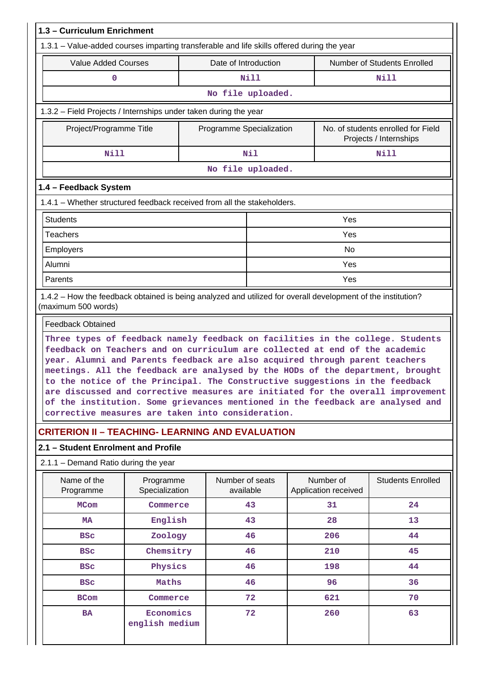| 1.3 - Curriculum Enrichment                                                                                                                                                                                                                                                                                                                                                                                                                                         |                             |                              |                   |  |                                   |                                                                                 |
|---------------------------------------------------------------------------------------------------------------------------------------------------------------------------------------------------------------------------------------------------------------------------------------------------------------------------------------------------------------------------------------------------------------------------------------------------------------------|-----------------------------|------------------------------|-------------------|--|-----------------------------------|---------------------------------------------------------------------------------|
| 1.3.1 - Value-added courses imparting transferable and life skills offered during the year                                                                                                                                                                                                                                                                                                                                                                          |                             |                              |                   |  |                                   |                                                                                 |
| <b>Value Added Courses</b>                                                                                                                                                                                                                                                                                                                                                                                                                                          |                             | Date of Introduction         |                   |  |                                   | Number of Students Enrolled                                                     |
| 0                                                                                                                                                                                                                                                                                                                                                                                                                                                                   |                             |                              | Nill              |  |                                   | Nill                                                                            |
| No file uploaded.                                                                                                                                                                                                                                                                                                                                                                                                                                                   |                             |                              |                   |  |                                   |                                                                                 |
| 1.3.2 - Field Projects / Internships under taken during the year                                                                                                                                                                                                                                                                                                                                                                                                    |                             |                              |                   |  |                                   |                                                                                 |
| Project/Programme Title                                                                                                                                                                                                                                                                                                                                                                                                                                             |                             | Programme Specialization     |                   |  |                                   | No. of students enrolled for Field<br>Projects / Internships                    |
| <b>Nill</b>                                                                                                                                                                                                                                                                                                                                                                                                                                                         |                             |                              | Nil               |  |                                   | <b>Nill</b>                                                                     |
|                                                                                                                                                                                                                                                                                                                                                                                                                                                                     |                             |                              | No file uploaded. |  |                                   |                                                                                 |
| 1.4 - Feedback System                                                                                                                                                                                                                                                                                                                                                                                                                                               |                             |                              |                   |  |                                   |                                                                                 |
| 1.4.1 – Whether structured feedback received from all the stakeholders.                                                                                                                                                                                                                                                                                                                                                                                             |                             |                              |                   |  |                                   |                                                                                 |
| <b>Students</b>                                                                                                                                                                                                                                                                                                                                                                                                                                                     |                             |                              |                   |  | Yes                               |                                                                                 |
| <b>Teachers</b>                                                                                                                                                                                                                                                                                                                                                                                                                                                     |                             |                              |                   |  | Yes                               |                                                                                 |
| Employers                                                                                                                                                                                                                                                                                                                                                                                                                                                           |                             |                              |                   |  | No                                |                                                                                 |
| Alumni                                                                                                                                                                                                                                                                                                                                                                                                                                                              |                             |                              |                   |  | Yes                               |                                                                                 |
| Parents                                                                                                                                                                                                                                                                                                                                                                                                                                                             |                             |                              |                   |  | Yes                               |                                                                                 |
| 1.4.2 - How the feedback obtained is being analyzed and utilized for overall development of the institution?<br>(maximum 500 words)                                                                                                                                                                                                                                                                                                                                 |                             |                              |                   |  |                                   |                                                                                 |
| <b>Feedback Obtained</b>                                                                                                                                                                                                                                                                                                                                                                                                                                            |                             |                              |                   |  |                                   |                                                                                 |
| feedback on Teachers and on curriculum are collected at end of the academic<br>year. Alumni and Parents feedback are also acquired through parent teachers<br>meetings. All the feedback are analysed by the HODs of the department, brought<br>to the notice of the Principal. The Constructive suggestions in the feedback<br>of the institution. Some grievances mentioned in the feedback are analysed and<br>corrective measures are taken into consideration. |                             |                              |                   |  |                                   | are discussed and corrective measures are initiated for the overall improvement |
| <b>CRITERION II – TEACHING- LEARNING AND EVALUATION</b>                                                                                                                                                                                                                                                                                                                                                                                                             |                             |                              |                   |  |                                   |                                                                                 |
| 2.1 - Student Enrolment and Profile                                                                                                                                                                                                                                                                                                                                                                                                                                 |                             |                              |                   |  |                                   |                                                                                 |
| 2.1.1 - Demand Ratio during the year                                                                                                                                                                                                                                                                                                                                                                                                                                |                             |                              |                   |  |                                   |                                                                                 |
| Name of the<br>Programme                                                                                                                                                                                                                                                                                                                                                                                                                                            | Programme<br>Specialization | Number of seats<br>available |                   |  | Number of<br>Application received | <b>Students Enrolled</b>                                                        |
| <b>MCom</b>                                                                                                                                                                                                                                                                                                                                                                                                                                                         | Commerce                    |                              | 43                |  | 31                                | 24                                                                              |
| <b>MA</b>                                                                                                                                                                                                                                                                                                                                                                                                                                                           | English                     |                              | 43                |  | 28                                | 13                                                                              |
| <b>BSC</b>                                                                                                                                                                                                                                                                                                                                                                                                                                                          | Zoology                     |                              | 46                |  | 206                               | 44                                                                              |
| <b>BSC</b>                                                                                                                                                                                                                                                                                                                                                                                                                                                          | Chemsitry                   |                              | 46                |  | 210                               | 45                                                                              |
| <b>BSC</b>                                                                                                                                                                                                                                                                                                                                                                                                                                                          | Physics                     |                              | 46                |  | 198                               | 44                                                                              |
| <b>BSC</b>                                                                                                                                                                                                                                                                                                                                                                                                                                                          | Maths                       |                              | 46                |  | 96                                | 36                                                                              |
| <b>BCom</b>                                                                                                                                                                                                                                                                                                                                                                                                                                                         | Commerce                    |                              | 72                |  | 621                               | 70                                                                              |
| <b>BA</b>                                                                                                                                                                                                                                                                                                                                                                                                                                                           | Economics<br>english medium |                              | 72                |  | 260                               | 63                                                                              |
|                                                                                                                                                                                                                                                                                                                                                                                                                                                                     |                             |                              |                   |  |                                   |                                                                                 |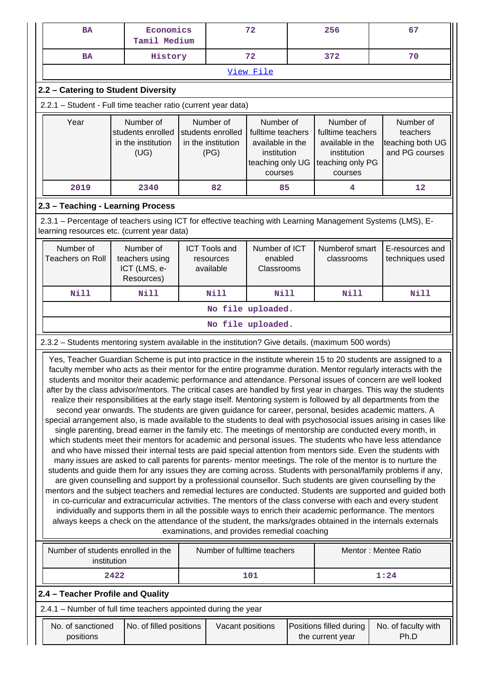| Economics<br>72<br>BA<br>Tamil Medium                                                                                                                                                                                                                                                                                                                                                                                                                                                                                                                                                                                                                                                                                                                                                                                                                                                                                                                                                                                                                                                                                                                                                                                                                                                                                                                                                                                                                                                                                                                                                                                                                                                                                                                                                                                                                                                                                                                                                                                               |                                                              | 256 | 67                                                           |                                        |                                                                                                  |                                             |                                                                                                                          |
|-------------------------------------------------------------------------------------------------------------------------------------------------------------------------------------------------------------------------------------------------------------------------------------------------------------------------------------------------------------------------------------------------------------------------------------------------------------------------------------------------------------------------------------------------------------------------------------------------------------------------------------------------------------------------------------------------------------------------------------------------------------------------------------------------------------------------------------------------------------------------------------------------------------------------------------------------------------------------------------------------------------------------------------------------------------------------------------------------------------------------------------------------------------------------------------------------------------------------------------------------------------------------------------------------------------------------------------------------------------------------------------------------------------------------------------------------------------------------------------------------------------------------------------------------------------------------------------------------------------------------------------------------------------------------------------------------------------------------------------------------------------------------------------------------------------------------------------------------------------------------------------------------------------------------------------------------------------------------------------------------------------------------------------|--------------------------------------------------------------|-----|--------------------------------------------------------------|----------------------------------------|--------------------------------------------------------------------------------------------------|---------------------------------------------|--------------------------------------------------------------------------------------------------------------------------|
| <b>BA</b>                                                                                                                                                                                                                                                                                                                                                                                                                                                                                                                                                                                                                                                                                                                                                                                                                                                                                                                                                                                                                                                                                                                                                                                                                                                                                                                                                                                                                                                                                                                                                                                                                                                                                                                                                                                                                                                                                                                                                                                                                           | 72<br>History                                                |     | 372                                                          | 70                                     |                                                                                                  |                                             |                                                                                                                          |
|                                                                                                                                                                                                                                                                                                                                                                                                                                                                                                                                                                                                                                                                                                                                                                                                                                                                                                                                                                                                                                                                                                                                                                                                                                                                                                                                                                                                                                                                                                                                                                                                                                                                                                                                                                                                                                                                                                                                                                                                                                     |                                                              |     |                                                              | View File                              |                                                                                                  |                                             |                                                                                                                          |
| 2.2 - Catering to Student Diversity                                                                                                                                                                                                                                                                                                                                                                                                                                                                                                                                                                                                                                                                                                                                                                                                                                                                                                                                                                                                                                                                                                                                                                                                                                                                                                                                                                                                                                                                                                                                                                                                                                                                                                                                                                                                                                                                                                                                                                                                 |                                                              |     |                                                              |                                        |                                                                                                  |                                             |                                                                                                                          |
| 2.2.1 - Student - Full time teacher ratio (current year data)                                                                                                                                                                                                                                                                                                                                                                                                                                                                                                                                                                                                                                                                                                                                                                                                                                                                                                                                                                                                                                                                                                                                                                                                                                                                                                                                                                                                                                                                                                                                                                                                                                                                                                                                                                                                                                                                                                                                                                       |                                                              |     |                                                              |                                        |                                                                                                  |                                             |                                                                                                                          |
| Year                                                                                                                                                                                                                                                                                                                                                                                                                                                                                                                                                                                                                                                                                                                                                                                                                                                                                                                                                                                                                                                                                                                                                                                                                                                                                                                                                                                                                                                                                                                                                                                                                                                                                                                                                                                                                                                                                                                                                                                                                                | Number of<br>students enrolled<br>in the institution<br>(UG) |     | Number of<br>students enrolled<br>in the institution<br>(PG) |                                        | Number of<br>fulltime teachers<br>available in the<br>institution<br>teaching only UG<br>courses |                                             | Number of<br>fulltime teachers<br>teachers<br>teaching both UG<br>available in the<br>and PG courses<br>teaching only PG |
| 2019                                                                                                                                                                                                                                                                                                                                                                                                                                                                                                                                                                                                                                                                                                                                                                                                                                                                                                                                                                                                                                                                                                                                                                                                                                                                                                                                                                                                                                                                                                                                                                                                                                                                                                                                                                                                                                                                                                                                                                                                                                | 2340                                                         |     | 82                                                           | 85                                     |                                                                                                  | 4                                           | 12                                                                                                                       |
| 2.3 - Teaching - Learning Process                                                                                                                                                                                                                                                                                                                                                                                                                                                                                                                                                                                                                                                                                                                                                                                                                                                                                                                                                                                                                                                                                                                                                                                                                                                                                                                                                                                                                                                                                                                                                                                                                                                                                                                                                                                                                                                                                                                                                                                                   |                                                              |     |                                                              |                                        |                                                                                                  |                                             |                                                                                                                          |
| 2.3.1 - Percentage of teachers using ICT for effective teaching with Learning Management Systems (LMS), E-<br>learning resources etc. (current year data)                                                                                                                                                                                                                                                                                                                                                                                                                                                                                                                                                                                                                                                                                                                                                                                                                                                                                                                                                                                                                                                                                                                                                                                                                                                                                                                                                                                                                                                                                                                                                                                                                                                                                                                                                                                                                                                                           |                                                              |     |                                                              |                                        |                                                                                                  |                                             |                                                                                                                          |
| Number of<br><b>Teachers on Roll</b>                                                                                                                                                                                                                                                                                                                                                                                                                                                                                                                                                                                                                                                                                                                                                                                                                                                                                                                                                                                                                                                                                                                                                                                                                                                                                                                                                                                                                                                                                                                                                                                                                                                                                                                                                                                                                                                                                                                                                                                                | Number of<br>teachers using<br>ICT (LMS, e-<br>Resources)    |     | <b>ICT Tools and</b><br>resources<br>available               | Number of ICT<br>enabled<br>Classrooms |                                                                                                  | Numberof smart<br>classrooms                | E-resources and<br>techniques used                                                                                       |
| <b>Nill</b>                                                                                                                                                                                                                                                                                                                                                                                                                                                                                                                                                                                                                                                                                                                                                                                                                                                                                                                                                                                                                                                                                                                                                                                                                                                                                                                                                                                                                                                                                                                                                                                                                                                                                                                                                                                                                                                                                                                                                                                                                         | Nill                                                         |     | Nill                                                         | Nill                                   |                                                                                                  | Nill                                        | Nill                                                                                                                     |
|                                                                                                                                                                                                                                                                                                                                                                                                                                                                                                                                                                                                                                                                                                                                                                                                                                                                                                                                                                                                                                                                                                                                                                                                                                                                                                                                                                                                                                                                                                                                                                                                                                                                                                                                                                                                                                                                                                                                                                                                                                     |                                                              |     |                                                              | No file uploaded.                      |                                                                                                  |                                             |                                                                                                                          |
|                                                                                                                                                                                                                                                                                                                                                                                                                                                                                                                                                                                                                                                                                                                                                                                                                                                                                                                                                                                                                                                                                                                                                                                                                                                                                                                                                                                                                                                                                                                                                                                                                                                                                                                                                                                                                                                                                                                                                                                                                                     |                                                              |     |                                                              | No file uploaded.                      |                                                                                                  |                                             |                                                                                                                          |
| 2.3.2 - Students mentoring system available in the institution? Give details. (maximum 500 words)                                                                                                                                                                                                                                                                                                                                                                                                                                                                                                                                                                                                                                                                                                                                                                                                                                                                                                                                                                                                                                                                                                                                                                                                                                                                                                                                                                                                                                                                                                                                                                                                                                                                                                                                                                                                                                                                                                                                   |                                                              |     |                                                              |                                        |                                                                                                  |                                             |                                                                                                                          |
| Yes, Teacher Guardian Scheme is put into practice in the institute wherein 15 to 20 students are assigned to a<br>faculty member who acts as their mentor for the entire programme duration. Mentor regularly interacts with the<br>students and monitor their academic performance and attendance. Personal issues of concern are well looked<br>after by the class advisor/mentors. The critical cases are handled by first year in charges. This way the students<br>realize their responsibilities at the early stage itself. Mentoring system is followed by all departments from the<br>second year onwards. The students are given guidance for career, personal, besides academic matters. A<br>special arrangement also, is made available to the students to deal with psychosocial issues arising in cases like<br>single parenting, bread earner in the family etc. The meetings of mentorship are conducted every month, in<br>which students meet their mentors for academic and personal issues. The students who have less attendance<br>and who have missed their internal tests are paid special attention from mentors side. Even the students with<br>many issues are asked to call parents for parents- mentor meetings. The role of the mentor is to nurture the<br>students and guide them for any issues they are coming across. Students with personal/family problems if any,<br>are given counselling and support by a professional counsellor. Such students are given counselling by the<br>mentors and the subject teachers and remedial lectures are conducted. Students are supported and guided both<br>in co-curricular and extracurricular activities. The mentors of the class converse with each and every student<br>individually and supports them in all the possible ways to enrich their academic performance. The mentors<br>always keeps a check on the attendance of the student, the marks/grades obtained in the internals externals<br>examinations, and provides remedial coaching |                                                              |     |                                                              |                                        |                                                                                                  |                                             |                                                                                                                          |
| Number of students enrolled in the<br>institution                                                                                                                                                                                                                                                                                                                                                                                                                                                                                                                                                                                                                                                                                                                                                                                                                                                                                                                                                                                                                                                                                                                                                                                                                                                                                                                                                                                                                                                                                                                                                                                                                                                                                                                                                                                                                                                                                                                                                                                   |                                                              |     |                                                              | Number of fulltime teachers            |                                                                                                  |                                             | Mentor: Mentee Ratio                                                                                                     |
|                                                                                                                                                                                                                                                                                                                                                                                                                                                                                                                                                                                                                                                                                                                                                                                                                                                                                                                                                                                                                                                                                                                                                                                                                                                                                                                                                                                                                                                                                                                                                                                                                                                                                                                                                                                                                                                                                                                                                                                                                                     | 2422                                                         |     |                                                              | 101                                    |                                                                                                  |                                             | 1:24                                                                                                                     |
| 2.4 - Teacher Profile and Quality<br>2.4.1 - Number of full time teachers appointed during the year                                                                                                                                                                                                                                                                                                                                                                                                                                                                                                                                                                                                                                                                                                                                                                                                                                                                                                                                                                                                                                                                                                                                                                                                                                                                                                                                                                                                                                                                                                                                                                                                                                                                                                                                                                                                                                                                                                                                 |                                                              |     |                                                              |                                        |                                                                                                  |                                             |                                                                                                                          |
| No. of sanctioned<br>positions                                                                                                                                                                                                                                                                                                                                                                                                                                                                                                                                                                                                                                                                                                                                                                                                                                                                                                                                                                                                                                                                                                                                                                                                                                                                                                                                                                                                                                                                                                                                                                                                                                                                                                                                                                                                                                                                                                                                                                                                      | No. of filled positions                                      |     | Vacant positions                                             |                                        |                                                                                                  | Positions filled during<br>the current year | No. of faculty with<br>Ph.D                                                                                              |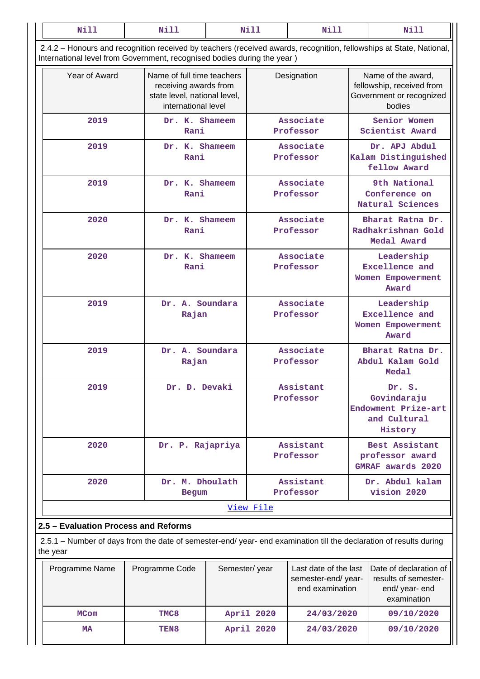| <b>Nill</b>                          | Nill                                                                    |                                                                                                                           | <b>Nill</b><br>Nill    |                        |  | Nill                                                                                                                |  |  |
|--------------------------------------|-------------------------------------------------------------------------|---------------------------------------------------------------------------------------------------------------------------|------------------------|------------------------|--|---------------------------------------------------------------------------------------------------------------------|--|--|
|                                      | International level from Government, recognised bodies during the year) |                                                                                                                           |                        |                        |  | 2.4.2 - Honours and recognition received by teachers (received awards, recognition, fellowships at State, National, |  |  |
| Year of Award                        |                                                                         | Name of full time teachers<br>Designation<br>receiving awards from<br>state level, national level,<br>international level |                        |                        |  | Name of the award,<br>fellowship, received from<br>Government or recognized<br>bodies                               |  |  |
| 2019                                 | Dr. K. Shameem<br>Rani                                                  |                                                                                                                           |                        | Associate<br>Professor |  | Senior Women<br>Scientist Award                                                                                     |  |  |
| 2019                                 | Dr. K. Shameem<br>Rani                                                  |                                                                                                                           |                        | Associate<br>Professor |  | Dr. APJ Abdul<br>Kalam Distinguished<br>fellow Award                                                                |  |  |
| 2019                                 | Dr. K. Shameem<br>Rani                                                  |                                                                                                                           |                        | Associate<br>Professor |  | 9th National<br>Conference on<br>Natural Sciences                                                                   |  |  |
| 2020                                 | Dr. K. Shameem<br>Rani                                                  |                                                                                                                           |                        | Associate<br>Professor |  | Bharat Ratna Dr.<br>Radhakrishnan Gold<br>Medal Award                                                               |  |  |
| 2020                                 | Dr. K. Shameem<br>Rani                                                  |                                                                                                                           |                        | Associate<br>Professor |  | Leadership<br><b>Excellence</b> and<br>Women Empowerment<br>Award                                                   |  |  |
| 2019                                 | Dr. A. Soundara<br>Rajan                                                |                                                                                                                           |                        | Associate<br>Professor |  | Leadership<br><b>Excellence</b> and<br>Women Empowerment<br>Award                                                   |  |  |
| 2019                                 | Dr. A. Soundara<br>Rajan                                                |                                                                                                                           | Associate<br>Professor |                        |  | Bharat Ratna Dr.<br>Abdul Kalam Gold<br>Medal                                                                       |  |  |
| 2019                                 | Dr. D. Devaki                                                           |                                                                                                                           |                        | Assistant<br>Professor |  | Dr. S.<br>Govindaraju<br>Endowment Prize-art<br>and Cultural<br>History                                             |  |  |
| 2020                                 | Dr. P. Rajapriya                                                        |                                                                                                                           |                        | Assistant<br>Professor |  | Best Assistant<br>professor award<br><b>GMRAF</b> awards 2020                                                       |  |  |
| 2020                                 | Dr. M. Dhoulath<br><b>Begum</b>                                         |                                                                                                                           |                        | Assistant<br>Professor |  | Dr. Abdul kalam<br>vision 2020                                                                                      |  |  |
|                                      |                                                                         |                                                                                                                           | View File              |                        |  |                                                                                                                     |  |  |
| 2.5 - Evaluation Process and Reforms |                                                                         |                                                                                                                           |                        |                        |  |                                                                                                                     |  |  |

# **2.5 – Evaluation Process and Reforms**

 2.5.1 – Number of days from the date of semester-end/ year- end examination till the declaration of results during the year

| Programme Name | Programme Code   | Semester/year | Last date of the last<br>semester-end/year-<br>end examination | Date of declaration of<br>results of semester-<br>end/year-end<br>examination |
|----------------|------------------|---------------|----------------------------------------------------------------|-------------------------------------------------------------------------------|
| <b>MCom</b>    | TMC8             | April 2020    | 24/03/2020                                                     | 09/10/2020                                                                    |
| MA             | TEN <sub>8</sub> | April 2020    | 24/03/2020                                                     | 09/10/2020                                                                    |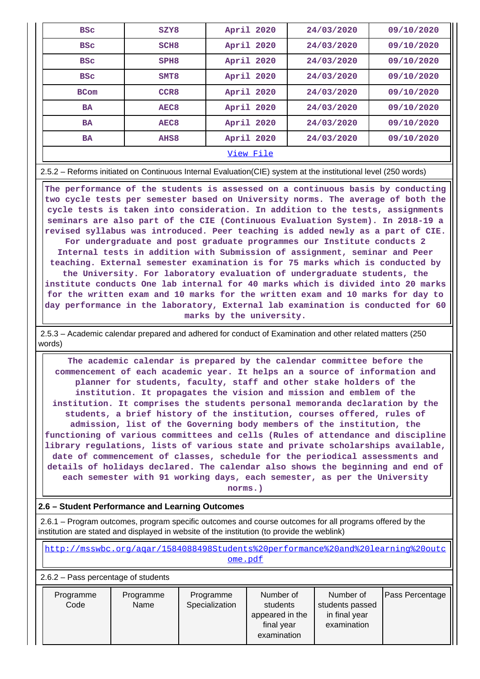| <b>BSC</b>  | SZY8             | April 2020 | 24/03/2020 | 09/10/2020 |  |  |  |
|-------------|------------------|------------|------------|------------|--|--|--|
| <b>BSC</b>  | SCH <sub>8</sub> | April 2020 | 24/03/2020 | 09/10/2020 |  |  |  |
| <b>BSC</b>  | SPH <sub>8</sub> | April 2020 | 24/03/2020 | 09/10/2020 |  |  |  |
| <b>BSC</b>  | SMT <sub>8</sub> | April 2020 | 24/03/2020 | 09/10/2020 |  |  |  |
| <b>BCom</b> | CCR <sub>8</sub> | April 2020 | 24/03/2020 | 09/10/2020 |  |  |  |
| <b>BA</b>   | AEC <sub>8</sub> | April 2020 | 24/03/2020 | 09/10/2020 |  |  |  |
| <b>BA</b>   | AEC <sub>8</sub> | April 2020 | 24/03/2020 | 09/10/2020 |  |  |  |
| <b>BA</b>   | AHS <sub>8</sub> | April 2020 | 24/03/2020 | 09/10/2020 |  |  |  |
|             | View File        |            |            |            |  |  |  |

2.5.2 – Reforms initiated on Continuous Internal Evaluation(CIE) system at the institutional level (250 words)

 **The performance of the students is assessed on a continuous basis by conducting two cycle tests per semester based on University norms. The average of both the cycle tests is taken into consideration. In addition to the tests, assignments seminars are also part of the CIE (Continuous Evaluation System). In 2018-19 a revised syllabus was introduced. Peer teaching is added newly as a part of CIE. For undergraduate and post graduate programmes our Institute conducts 2 Internal tests in addition with Submission of assignment, seminar and Peer teaching. External semester examination is for 75 marks which is conducted by the University. For laboratory evaluation of undergraduate students, the institute conducts One lab internal for 40 marks which is divided into 20 marks for the written exam and 10 marks for the written exam and 10 marks for day to day performance in the laboratory, External lab examination is conducted for 60 marks by the university.**

 2.5.3 – Academic calendar prepared and adhered for conduct of Examination and other related matters (250 words)

 **The academic calendar is prepared by the calendar committee before the commencement of each academic year. It helps an a source of information and planner for students, faculty, staff and other stake holders of the institution. It propagates the vision and mission and emblem of the institution. It comprises the students personal memoranda declaration by the students, a brief history of the institution, courses offered, rules of admission, list of the Governing body members of the institution, the functioning of various committees and cells (Rules of attendance and discipline library regulations, lists of various state and private scholarships available, date of commencement of classes, schedule for the periodical assessments and details of holidays declared. The calendar also shows the beginning and end of each semester with 91 working days, each semester, as per the University**

**norms.)**

#### **2.6 – Student Performance and Learning Outcomes**

 2.6.1 – Program outcomes, program specific outcomes and course outcomes for all programs offered by the institution are stated and displayed in website of the institution (to provide the weblink)

[http://msswbc.org/aqar/1584088498Students%20performance%20and%20learning%20outc](http://msswbc.org/aqar/1584088498Students%20performance%20and%20learning%20outcome.pdf)

[ome.pdf](http://msswbc.org/aqar/1584088498Students%20performance%20and%20learning%20outcome.pdf)

2.6.2 – Pass percentage of students

| Programme<br>Code | Programme<br>Name | Programme<br>Specialization | Number of<br>students<br>appeared in the<br>final year<br>examination | Number of<br>students passed<br>in final year<br>examination | <b>Pass Percentage</b> |
|-------------------|-------------------|-----------------------------|-----------------------------------------------------------------------|--------------------------------------------------------------|------------------------|
|-------------------|-------------------|-----------------------------|-----------------------------------------------------------------------|--------------------------------------------------------------|------------------------|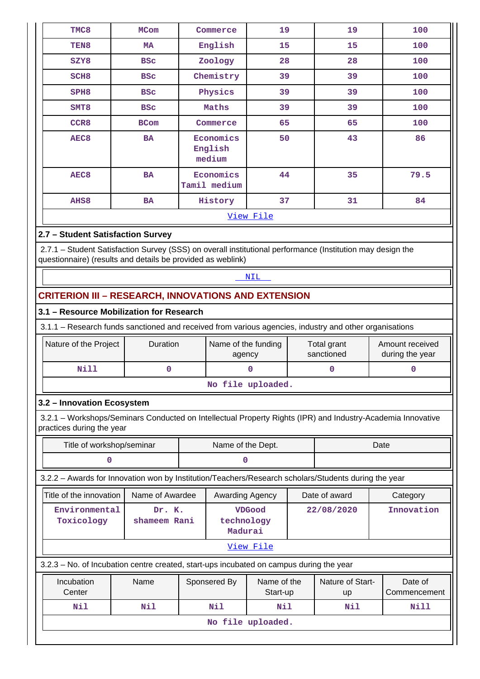| TMC8                                                                                                                                                                      | <b>MCom</b>                                                | Commerce                              | 19        | 19 | 100 |  |  |  |
|---------------------------------------------------------------------------------------------------------------------------------------------------------------------------|------------------------------------------------------------|---------------------------------------|-----------|----|-----|--|--|--|
| TEN <sub>8</sub>                                                                                                                                                          | MA                                                         | English                               | 15        | 15 | 100 |  |  |  |
| SZY8                                                                                                                                                                      | <b>BSC</b>                                                 | Zoology                               | 28        | 28 | 100 |  |  |  |
| SCH <sub>8</sub>                                                                                                                                                          | <b>BSC</b>                                                 | Chemistry                             | 39        | 39 | 100 |  |  |  |
| SPH <sub>8</sub>                                                                                                                                                          | <b>BSC</b>                                                 | Physics                               | 39        | 39 | 100 |  |  |  |
| SMT <sub>8</sub>                                                                                                                                                          | <b>BSC</b>                                                 | Maths                                 | 39        | 39 | 100 |  |  |  |
| CCR <sub>8</sub>                                                                                                                                                          | <b>BCom</b>                                                | Commerce                              | 65        | 65 | 100 |  |  |  |
| AEC <sub>8</sub>                                                                                                                                                          | <b>BA</b>                                                  | Economics<br>English<br>medium        | 50        | 43 | 86  |  |  |  |
| AEC <sub>8</sub>                                                                                                                                                          | <b>BA</b>                                                  | Economics<br>44<br>35<br>Tamil medium |           |    |     |  |  |  |
| AHS8                                                                                                                                                                      | <b>BA</b>                                                  | History                               | 37        | 31 | 84  |  |  |  |
|                                                                                                                                                                           |                                                            |                                       | View File |    |     |  |  |  |
| 2.7 - Student Satisfaction Survey                                                                                                                                         |                                                            |                                       |           |    |     |  |  |  |
| 2.7.1 - Student Satisfaction Survey (SSS) on overall institutional performance (Institution may design the<br>questionnaire) (results and details be provided as weblink) |                                                            |                                       |           |    |     |  |  |  |
|                                                                                                                                                                           | <b>NIL</b>                                                 |                                       |           |    |     |  |  |  |
|                                                                                                                                                                           | <b>CRITERION III - RESEARCH, INNOVATIONS AND EXTENSION</b> |                                       |           |    |     |  |  |  |
| 3.1 - Resource Mobilization for Research                                                                                                                                  |                                                            |                                       |           |    |     |  |  |  |

3.1.1 – Research funds sanctioned and received from various agencies, industry and other organisations

| Nature of the Project | <b>Duration</b> | Name of the funding<br>agency | Total grant<br>sanctioned | Amount received<br>during the year |  |  |  |
|-----------------------|-----------------|-------------------------------|---------------------------|------------------------------------|--|--|--|
| Nill                  |                 |                               |                           |                                    |  |  |  |
| No file uploaded.     |                 |                               |                           |                                    |  |  |  |

# **3.2 – Innovation Ecosystem**

 3.2.1 – Workshops/Seminars Conducted on Intellectual Property Rights (IPR) and Industry-Academia Innovative practices during the year

|                                                                                         | Title of workshop/seminar                                                                            |            |                                        | Name of the Dept.       |            | Date                   |                         |  |  |
|-----------------------------------------------------------------------------------------|------------------------------------------------------------------------------------------------------|------------|----------------------------------------|-------------------------|------------|------------------------|-------------------------|--|--|
|                                                                                         |                                                                                                      |            | O                                      |                         |            |                        |                         |  |  |
|                                                                                         | 3.2.2 - Awards for Innovation won by Institution/Teachers/Research scholars/Students during the year |            |                                        |                         |            |                        |                         |  |  |
| Title of the innovation                                                                 | Name of Awardee                                                                                      |            | Awarding Agency                        |                         |            | Date of award          | Category                |  |  |
| Environmental<br>Toxicology                                                             | Dr. K.<br>shameem Rani                                                                               |            | <b>VDGood</b><br>technology<br>Madurai |                         | 22/08/2020 | Innovation             |                         |  |  |
|                                                                                         |                                                                                                      |            |                                        | View File               |            |                        |                         |  |  |
| 3.2.3 – No. of Incubation centre created, start-ups incubated on campus during the year |                                                                                                      |            |                                        |                         |            |                        |                         |  |  |
| Incubation<br>Center                                                                    | Name                                                                                                 |            | Sponsered By                           | Name of the<br>Start-up |            | Nature of Start-<br>up | Date of<br>Commencement |  |  |
| Nil                                                                                     | Nil                                                                                                  | Nil<br>Nil |                                        |                         |            | Nil                    | Nill                    |  |  |
|                                                                                         | No file uploaded.                                                                                    |            |                                        |                         |            |                        |                         |  |  |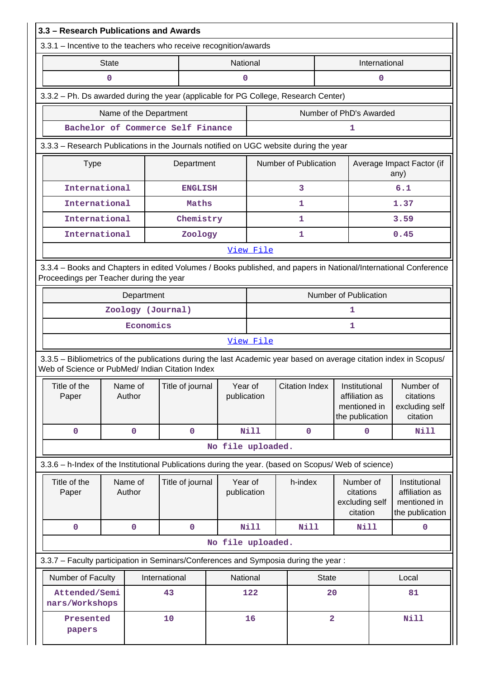|                                                                  | 3.3 - Research Publications and Awards                                                                                                                                |              |                   |                                   |  |                        |                                                            |                       |                |                                                                    |               |                                                                    |
|------------------------------------------------------------------|-----------------------------------------------------------------------------------------------------------------------------------------------------------------------|--------------|-------------------|-----------------------------------|--|------------------------|------------------------------------------------------------|-----------------------|----------------|--------------------------------------------------------------------|---------------|--------------------------------------------------------------------|
| 3.3.1 - Incentive to the teachers who receive recognition/awards |                                                                                                                                                                       |              |                   |                                   |  |                        |                                                            |                       |                |                                                                    |               |                                                                    |
|                                                                  |                                                                                                                                                                       | <b>State</b> |                   |                                   |  | National               |                                                            |                       |                |                                                                    | International |                                                                    |
|                                                                  |                                                                                                                                                                       | 0            |                   |                                   |  | $\mathbf 0$            |                                                            |                       |                |                                                                    | 0             |                                                                    |
|                                                                  | 3.3.2 - Ph. Ds awarded during the year (applicable for PG College, Research Center)                                                                                   |              |                   |                                   |  |                        |                                                            |                       |                |                                                                    |               |                                                                    |
|                                                                  | Name of the Department                                                                                                                                                |              |                   |                                   |  |                        |                                                            |                       |                | Number of PhD's Awarded                                            |               |                                                                    |
|                                                                  |                                                                                                                                                                       |              |                   | Bachelor of Commerce Self Finance |  |                        |                                                            |                       |                | 1                                                                  |               |                                                                    |
|                                                                  | 3.3.3 – Research Publications in the Journals notified on UGC website during the year                                                                                 |              |                   |                                   |  |                        |                                                            |                       |                |                                                                    |               |                                                                    |
|                                                                  | <b>Type</b>                                                                                                                                                           |              |                   | Department                        |  |                        | Number of Publication<br>Average Impact Factor (if<br>any) |                       |                |                                                                    |               |                                                                    |
|                                                                  | International                                                                                                                                                         |              |                   | <b>ENGLISH</b>                    |  |                        |                                                            | 3                     |                |                                                                    |               | 6.1                                                                |
|                                                                  | International                                                                                                                                                         |              |                   | Maths                             |  |                        |                                                            | 1                     |                |                                                                    |               | 1.37                                                               |
|                                                                  | International                                                                                                                                                         |              |                   | Chemistry                         |  |                        |                                                            | 1                     |                |                                                                    |               | 3.59                                                               |
|                                                                  | International                                                                                                                                                         |              |                   | Zoology                           |  |                        |                                                            | 1                     |                |                                                                    |               | 0.45                                                               |
|                                                                  |                                                                                                                                                                       |              |                   |                                   |  |                        | View File                                                  |                       |                |                                                                    |               |                                                                    |
|                                                                  | 3.3.4 - Books and Chapters in edited Volumes / Books published, and papers in National/International Conference<br>Proceedings per Teacher during the year            |              |                   |                                   |  |                        |                                                            |                       |                |                                                                    |               |                                                                    |
| Number of Publication<br>Department                              |                                                                                                                                                                       |              |                   |                                   |  |                        |                                                            |                       |                |                                                                    |               |                                                                    |
|                                                                  | Zoology (Journal)                                                                                                                                                     |              |                   |                                   |  |                        |                                                            |                       |                | 1                                                                  |               |                                                                    |
|                                                                  |                                                                                                                                                                       |              | Economics         |                                   |  |                        |                                                            |                       |                | 1                                                                  |               |                                                                    |
|                                                                  | View File                                                                                                                                                             |              |                   |                                   |  |                        |                                                            |                       |                |                                                                    |               |                                                                    |
|                                                                  | 3.3.5 - Bibliometrics of the publications during the last Academic year based on average citation index in Scopus/<br>Web of Science or PubMed/ Indian Citation Index |              |                   |                                   |  |                        |                                                            |                       |                |                                                                    |               |                                                                    |
|                                                                  | Title of the<br>Paper                                                                                                                                                 |              | Name of<br>Author | Title of journal                  |  | Year of<br>publication |                                                            | <b>Citation Index</b> |                | Institutional<br>affiliation as<br>mentioned in<br>the publication |               | Number of<br>citations<br>excluding self<br>citation               |
|                                                                  | $\mathbf 0$                                                                                                                                                           |              | $\mathbf 0$       | $\mathbf 0$                       |  |                        | <b>Nill</b>                                                |                       | $\mathbf 0$    | 0                                                                  |               | Nill                                                               |
|                                                                  |                                                                                                                                                                       |              |                   |                                   |  |                        | No file uploaded.                                          |                       |                |                                                                    |               |                                                                    |
|                                                                  | 3.3.6 - h-Index of the Institutional Publications during the year. (based on Scopus/ Web of science)                                                                  |              |                   |                                   |  |                        |                                                            |                       |                |                                                                    |               |                                                                    |
|                                                                  | Title of the<br>Paper                                                                                                                                                 |              | Name of<br>Author | Title of journal                  |  | Year of<br>publication |                                                            | h-index               |                | Number of<br>citations<br>excluding self<br>citation               |               | Institutional<br>affiliation as<br>mentioned in<br>the publication |
|                                                                  | 0                                                                                                                                                                     |              | $\pmb{0}$         | $\pmb{0}$                         |  |                        | <b>Nill</b>                                                |                       | Nill           | <b>Nill</b>                                                        |               | $\mathbf 0$                                                        |
|                                                                  |                                                                                                                                                                       |              |                   |                                   |  |                        | No file uploaded.                                          |                       |                |                                                                    |               |                                                                    |
|                                                                  | 3.3.7 - Faculty participation in Seminars/Conferences and Symposia during the year:                                                                                   |              |                   |                                   |  |                        |                                                            |                       |                |                                                                    |               |                                                                    |
|                                                                  | Number of Faculty                                                                                                                                                     |              |                   | International                     |  | National               |                                                            |                       | <b>State</b>   |                                                                    |               | Local                                                              |
|                                                                  | Attended/Semi<br>nars/Workshops                                                                                                                                       |              |                   | 43                                |  |                        | 122<br>20                                                  |                       | 81             |                                                                    |               |                                                                    |
|                                                                  | 10<br>Presented<br>papers                                                                                                                                             |              |                   |                                   |  |                        | 16                                                         |                       | $\overline{2}$ |                                                                    |               | <b>Nill</b>                                                        |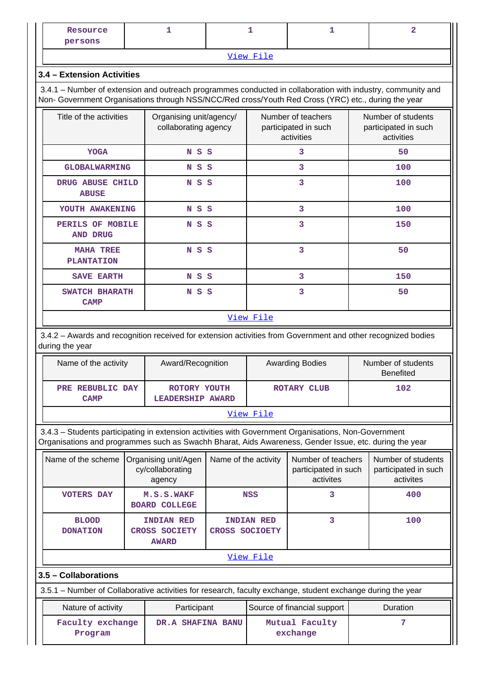| Resource<br>persons |           |  |
|---------------------|-----------|--|
|                     | View File |  |

#### **3.4 – Extension Activities**

 3.4.1 – Number of extension and outreach programmes conducted in collaboration with industry, community and Non- Government Organisations through NSS/NCC/Red cross/Youth Red Cross (YRC) etc., during the year

| Title of the activities               | Organising unit/agency/<br>collaborating agency | Number of teachers<br>participated in such<br>activities | Number of students<br>participated in such<br>activities |
|---------------------------------------|-------------------------------------------------|----------------------------------------------------------|----------------------------------------------------------|
| <b>YOGA</b>                           | S S<br>N                                        | 3                                                        | 50                                                       |
| <b>GLOBALWARMING</b>                  | NSS                                             | 3                                                        | 100                                                      |
| DRUG ABUSE CHILD<br><b>ABUSE</b>      | S S<br>N                                        | 3                                                        | 100                                                      |
| YOUTH AWAKENING                       | S S<br>N                                        | 3                                                        | 100                                                      |
| PERILS OF MOBILE<br><b>AND DRUG</b>   | S S<br>N                                        | 3                                                        | 150                                                      |
| <b>MAHA TREE</b><br><b>PLANTATION</b> | N S S                                           | 3                                                        | 50                                                       |
| <b>SAVE EARTH</b>                     | NSS                                             | 3                                                        | 150                                                      |
| SWATCH BHARATH<br><b>CAMP</b>         | S S<br>N                                        | 3                                                        | 50                                                       |
|                                       | <b>Contract Contract Contract</b>               |                                                          |                                                          |

#### [View File](https://assessmentonline.naac.gov.in/public/Postacc/Extension/9012_Extension_1611304683.xlsx)

 3.4.2 – Awards and recognition received for extension activities from Government and other recognized bodies during the year

| Name of the activity            | Award/Recognition                | <b>Awarding Bodies</b> | Number of students<br><b>Benefited</b> |  |  |  |  |  |
|---------------------------------|----------------------------------|------------------------|----------------------------------------|--|--|--|--|--|
| PRE REBUBLIC DAY<br><b>CAMP</b> | ROTORY YOUTH<br>LEADERSHIP AWARD | ROTARY CLUB            | 102                                    |  |  |  |  |  |
| View File                       |                                  |                        |                                        |  |  |  |  |  |

 3.4.3 – Students participating in extension activities with Government Organisations, Non-Government Organisations and programmes such as Swachh Bharat, Aids Awareness, Gender Issue, etc. during the year

| Name of the scheme              | Organising unit/Agen<br>cy/collaborating<br>agency        | Name of the activity                | Number of teachers<br>participated in such<br>activites | Number of students<br>participated in such<br>activites |  |  |  |
|---------------------------------|-----------------------------------------------------------|-------------------------------------|---------------------------------------------------------|---------------------------------------------------------|--|--|--|
| <b>VOTERS DAY</b>               | M.S.S.WAKF<br><b>BOARD COLLEGE</b>                        | <b>NSS</b>                          |                                                         | 400                                                     |  |  |  |
| <b>BLOOD</b><br><b>DONATION</b> | <b>INDIAN RED</b><br><b>CROSS SOCIETY</b><br><b>AWARD</b> | <b>INDIAN RED</b><br>CROSS SOCIOETY |                                                         | 100                                                     |  |  |  |
| View File                       |                                                           |                                     |                                                         |                                                         |  |  |  |

#### **3.5 – Collaborations**

3.5.1 – Number of Collaborative activities for research, faculty exchange, student exchange during the year

| Nature of activity          | Participant       | Source of financial support | <b>Duration</b> |
|-----------------------------|-------------------|-----------------------------|-----------------|
| Faculty exchange<br>Program | DR.A SHAFINA BANU | Mutual Faculty<br>exchange  |                 |
|                             |                   |                             |                 |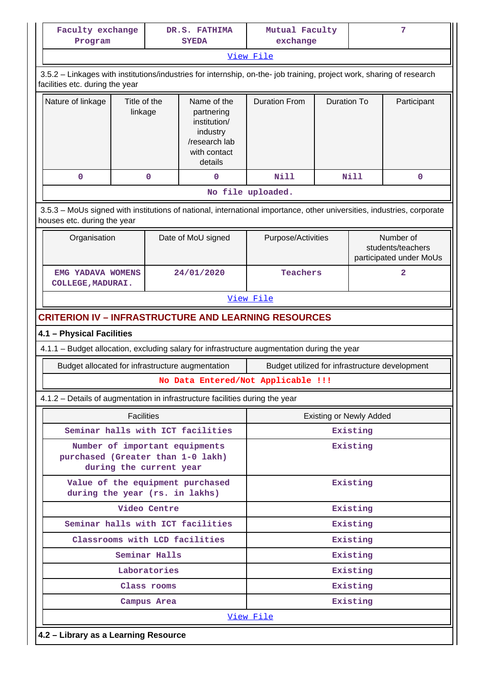| Faculty exchange<br>Program                                                                                                                           |                                                                                                                                                          |              | DR.S. FATHIMA<br><b>SYEDA</b>                                                                     | Mutual Faculty<br>exchange                     |                    |                                | 7                                                         |  |  |  |  |
|-------------------------------------------------------------------------------------------------------------------------------------------------------|----------------------------------------------------------------------------------------------------------------------------------------------------------|--------------|---------------------------------------------------------------------------------------------------|------------------------------------------------|--------------------|--------------------------------|-----------------------------------------------------------|--|--|--|--|
|                                                                                                                                                       |                                                                                                                                                          |              |                                                                                                   | View File                                      |                    |                                |                                                           |  |  |  |  |
|                                                                                                                                                       | 3.5.2 - Linkages with institutions/industries for internship, on-the- job training, project work, sharing of research<br>facilities etc. during the year |              |                                                                                                   |                                                |                    |                                |                                                           |  |  |  |  |
| Nature of linkage                                                                                                                                     | Title of the<br>linkage                                                                                                                                  |              | Name of the<br>partnering<br>institution/<br>industry<br>/research lab<br>with contact<br>details | <b>Duration From</b>                           | <b>Duration To</b> |                                | Participant                                               |  |  |  |  |
| 0                                                                                                                                                     |                                                                                                                                                          | 0            | 0                                                                                                 | <b>Nill</b>                                    |                    | Nill                           | 0                                                         |  |  |  |  |
|                                                                                                                                                       |                                                                                                                                                          |              |                                                                                                   | No file uploaded.                              |                    |                                |                                                           |  |  |  |  |
| 3.5.3 - MoUs signed with institutions of national, international importance, other universities, industries, corporate<br>houses etc. during the year |                                                                                                                                                          |              |                                                                                                   |                                                |                    |                                |                                                           |  |  |  |  |
| Organisation                                                                                                                                          |                                                                                                                                                          |              | Date of MoU signed                                                                                | Purpose/Activities                             |                    |                                | Number of<br>students/teachers<br>participated under MoUs |  |  |  |  |
|                                                                                                                                                       | EMG YADAVA WOMENS<br>24/01/2020<br><b>COLLEGE, MADURAI.</b>                                                                                              |              |                                                                                                   |                                                | Teachers           |                                |                                                           |  |  |  |  |
| View File                                                                                                                                             |                                                                                                                                                          |              |                                                                                                   |                                                |                    |                                |                                                           |  |  |  |  |
| <b>CRITERION IV - INFRASTRUCTURE AND LEARNING RESOURCES</b>                                                                                           |                                                                                                                                                          |              |                                                                                                   |                                                |                    |                                |                                                           |  |  |  |  |
|                                                                                                                                                       | 4.1 - Physical Facilities                                                                                                                                |              |                                                                                                   |                                                |                    |                                |                                                           |  |  |  |  |
| 4.1.1 - Budget allocation, excluding salary for infrastructure augmentation during the year                                                           |                                                                                                                                                          |              |                                                                                                   |                                                |                    |                                |                                                           |  |  |  |  |
| Budget allocated for infrastructure augmentation                                                                                                      |                                                                                                                                                          |              |                                                                                                   | Budget utilized for infrastructure development |                    |                                |                                                           |  |  |  |  |
|                                                                                                                                                       |                                                                                                                                                          |              |                                                                                                   | No Data Entered/Not Applicable !!!             |                    |                                |                                                           |  |  |  |  |
| 4.1.2 - Details of augmentation in infrastructure facilities during the year                                                                          |                                                                                                                                                          |              |                                                                                                   |                                                |                    |                                |                                                           |  |  |  |  |
|                                                                                                                                                       | <b>Facilities</b>                                                                                                                                        |              |                                                                                                   |                                                |                    | <b>Existing or Newly Added</b> |                                                           |  |  |  |  |
|                                                                                                                                                       |                                                                                                                                                          |              | Seminar halls with ICT facilities                                                                 | Existing                                       |                    |                                |                                                           |  |  |  |  |
| purchased (Greater than 1-0 lakh)                                                                                                                     | during the current year                                                                                                                                  |              | Number of important equipments                                                                    | Existing                                       |                    |                                |                                                           |  |  |  |  |
| during the year (rs. in lakhs)                                                                                                                        |                                                                                                                                                          |              | Value of the equipment purchased                                                                  |                                                |                    | Existing                       |                                                           |  |  |  |  |
|                                                                                                                                                       |                                                                                                                                                          | Video Centre |                                                                                                   |                                                |                    | Existing                       |                                                           |  |  |  |  |
|                                                                                                                                                       | Seminar halls with ICT facilities                                                                                                                        |              |                                                                                                   | Existing                                       |                    |                                |                                                           |  |  |  |  |
|                                                                                                                                                       | Classrooms with LCD facilities                                                                                                                           |              |                                                                                                   | Existing                                       |                    |                                |                                                           |  |  |  |  |
|                                                                                                                                                       | Seminar Halls                                                                                                                                            |              |                                                                                                   | Existing                                       |                    |                                |                                                           |  |  |  |  |
|                                                                                                                                                       | Laboratories                                                                                                                                             |              |                                                                                                   | Existing                                       |                    |                                |                                                           |  |  |  |  |
|                                                                                                                                                       |                                                                                                                                                          | Existing     |                                                                                                   |                                                |                    |                                |                                                           |  |  |  |  |
|                                                                                                                                                       |                                                                                                                                                          | Campus Area  |                                                                                                   |                                                |                    | Existing                       |                                                           |  |  |  |  |
|                                                                                                                                                       |                                                                                                                                                          |              |                                                                                                   | View File                                      |                    |                                |                                                           |  |  |  |  |
|                                                                                                                                                       |                                                                                                                                                          |              | 4.2 - Library as a Learning Resource                                                              |                                                |                    |                                |                                                           |  |  |  |  |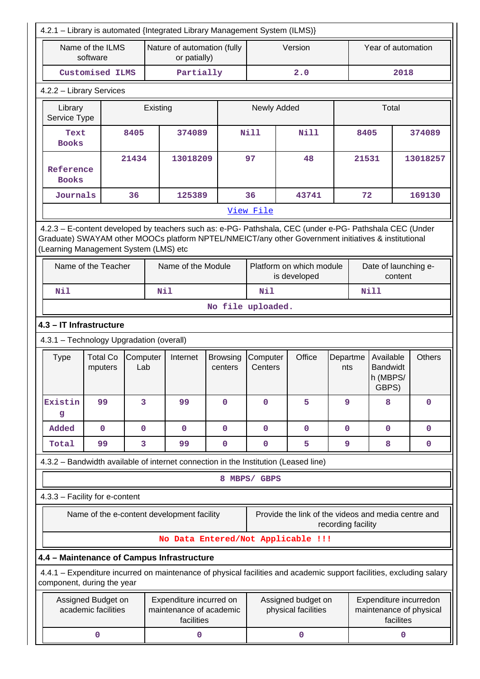| 4.2.1 - Library is automated {Integrated Library Management System (ILMS)} |                                           |                 |          |                                                                  |                                                                                                                                                                                                                |                          |                                           |             |                    |                    |                                                   |           |                                                     |
|----------------------------------------------------------------------------|-------------------------------------------|-----------------|----------|------------------------------------------------------------------|----------------------------------------------------------------------------------------------------------------------------------------------------------------------------------------------------------------|--------------------------|-------------------------------------------|-------------|--------------------|--------------------|---------------------------------------------------|-----------|-----------------------------------------------------|
|                                                                            | Name of the ILMS<br>software              |                 |          | Nature of automation (fully<br>or patially)                      |                                                                                                                                                                                                                |                          | Version                                   |             |                    | Year of automation |                                                   |           |                                                     |
|                                                                            | Customised ILMS                           |                 |          | Partially                                                        |                                                                                                                                                                                                                | 2.0                      |                                           |             |                    |                    | 2018                                              |           |                                                     |
| 4.2.2 - Library Services                                                   |                                           |                 |          |                                                                  |                                                                                                                                                                                                                |                          |                                           |             |                    |                    |                                                   |           |                                                     |
| Library<br>Service Type                                                    |                                           |                 | Existing |                                                                  |                                                                                                                                                                                                                | Newly Added              |                                           |             |                    |                    | Total                                             |           |                                                     |
| Text<br><b>Books</b>                                                       |                                           | 8405            |          | 374089                                                           |                                                                                                                                                                                                                | <b>Nill</b>              |                                           | Nill        |                    | 8405               |                                                   |           | 374089                                              |
| Reference<br><b>Books</b>                                                  |                                           | 21434           |          | 13018209                                                         |                                                                                                                                                                                                                | 97                       |                                           | 48          |                    | 21531              |                                                   |           | 13018257                                            |
| Journals                                                                   |                                           | 36              |          | 125389                                                           |                                                                                                                                                                                                                | 36                       |                                           | 43741       |                    | 72                 |                                                   |           | 169130                                              |
|                                                                            |                                           |                 |          |                                                                  |                                                                                                                                                                                                                | View File                |                                           |             |                    |                    |                                                   |           |                                                     |
|                                                                            | (Learning Management System (LMS) etc     |                 |          |                                                                  | 4.2.3 - E-content developed by teachers such as: e-PG- Pathshala, CEC (under e-PG- Pathshala CEC (Under<br>Graduate) SWAYAM other MOOCs platform NPTEL/NMEICT/any other Government initiatives & institutional |                          |                                           |             |                    |                    |                                                   |           |                                                     |
|                                                                            | Name of the Teacher                       |                 |          | Name of the Module                                               |                                                                                                                                                                                                                | Platform on which module | is developed                              |             |                    |                    | Date of launching e-                              | content   |                                                     |
| Nil                                                                        |                                           |                 |          | Nil                                                              | Nil<br><b>Nill</b>                                                                                                                                                                                             |                          |                                           |             |                    |                    |                                                   |           |                                                     |
| No file uploaded.                                                          |                                           |                 |          |                                                                  |                                                                                                                                                                                                                |                          |                                           |             |                    |                    |                                                   |           |                                                     |
|                                                                            | 4.3 - IT Infrastructure                   |                 |          |                                                                  |                                                                                                                                                                                                                |                          |                                           |             |                    |                    |                                                   |           |                                                     |
|                                                                            | 4.3.1 - Technology Upgradation (overall)  |                 |          |                                                                  |                                                                                                                                                                                                                |                          |                                           |             |                    |                    |                                                   |           |                                                     |
| <b>Type</b>                                                                | <b>Total Co</b><br>mputers                | Computer<br>Lab |          | Internet                                                         | <b>Browsing</b><br>centers                                                                                                                                                                                     | Computer<br>Centers      |                                           | Office      | Departme<br>nts    |                    | Available<br><b>Bandwidt</b><br>h (MBPS/<br>GBPS) |           | <b>Others</b>                                       |
| Existin<br>g                                                               | 99                                        | 3               |          | 99                                                               | 0                                                                                                                                                                                                              | $\mathbf 0$              |                                           | 5           | 9                  |                    | 8                                                 |           | $\mathbf 0$                                         |
| Added                                                                      | $\mathbf 0$                               | $\mathbf 0$     |          | $\mathbf 0$                                                      | $\mathbf 0$                                                                                                                                                                                                    | $\mathbf 0$              |                                           | $\mathbf 0$ | $\mathbf 0$        |                    | $\mathbf 0$                                       |           | $\mathbf 0$                                         |
| Total                                                                      | 99                                        | 3               |          | 99                                                               | $\mathbf 0$                                                                                                                                                                                                    | 0                        |                                           | 5           | 9                  |                    | 8                                                 |           | $\mathbf 0$                                         |
|                                                                            |                                           |                 |          |                                                                  | 4.3.2 - Bandwidth available of internet connection in the Institution (Leased line)                                                                                                                            |                          |                                           |             |                    |                    |                                                   |           |                                                     |
|                                                                            |                                           |                 |          |                                                                  |                                                                                                                                                                                                                | 8 MBPS/ GBPS             |                                           |             |                    |                    |                                                   |           |                                                     |
|                                                                            | 4.3.3 - Facility for e-content            |                 |          |                                                                  |                                                                                                                                                                                                                |                          |                                           |             |                    |                    |                                                   |           |                                                     |
|                                                                            |                                           |                 |          | Name of the e-content development facility                       |                                                                                                                                                                                                                |                          |                                           |             | recording facility |                    |                                                   |           | Provide the link of the videos and media centre and |
|                                                                            |                                           |                 |          |                                                                  | No Data Entered/Not Applicable !!!                                                                                                                                                                             |                          |                                           |             |                    |                    |                                                   |           |                                                     |
|                                                                            |                                           |                 |          | 4.4 - Maintenance of Campus Infrastructure                       |                                                                                                                                                                                                                |                          |                                           |             |                    |                    |                                                   |           |                                                     |
|                                                                            | component, during the year                |                 |          |                                                                  | 4.4.1 - Expenditure incurred on maintenance of physical facilities and academic support facilities, excluding salary                                                                                           |                          |                                           |             |                    |                    |                                                   |           |                                                     |
|                                                                            | Assigned Budget on<br>academic facilities |                 |          | Expenditure incurred on<br>maintenance of academic<br>facilities |                                                                                                                                                                                                                |                          | Assigned budget on<br>physical facilities |             |                    |                    |                                                   | facilites | Expenditure incurredon<br>maintenance of physical   |
|                                                                            | 0                                         |                 |          | 0                                                                |                                                                                                                                                                                                                |                          | 0                                         |             |                    |                    |                                                   | 0         |                                                     |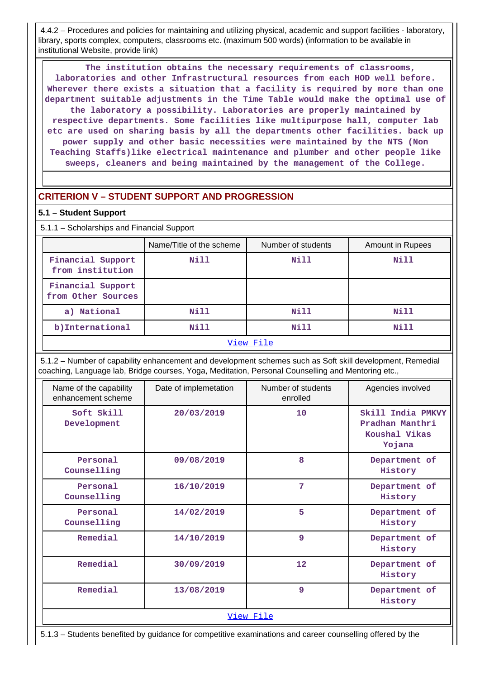4.4.2 – Procedures and policies for maintaining and utilizing physical, academic and support facilities - laboratory, library, sports complex, computers, classrooms etc. (maximum 500 words) (information to be available in institutional Website, provide link)

 **The institution obtains the necessary requirements of classrooms, laboratories and other Infrastructural resources from each HOD well before. Wherever there exists a situation that a facility is required by more than one department suitable adjustments in the Time Table would make the optimal use of the laboratory a possibility. Laboratories are properly maintained by respective departments. Some facilities like multipurpose hall, computer lab etc are used on sharing basis by all the departments other facilities. back up power supply and other basic necessities were maintained by the NTS (Non Teaching Staffs)like electrical maintenance and plumber and other people like sweeps, cleaners and being maintained by the management of the College.**

# **CRITERION V – STUDENT SUPPORT AND PROGRESSION**

#### **5.1 – Student Support**

5.1.1 – Scholarships and Financial Support

|                                         | Name/Title of the scheme | Number of students | Amount in Rupees |  |  |  |  |
|-----------------------------------------|--------------------------|--------------------|------------------|--|--|--|--|
| Financial Support<br>from institution   | Nill                     | Nill               | Nill             |  |  |  |  |
| Financial Support<br>from Other Sources |                          |                    |                  |  |  |  |  |
| a) National                             | Nill                     | Nill               | Nill             |  |  |  |  |
| b) International                        | Nill                     | Nill               | Nill             |  |  |  |  |
| View File                               |                          |                    |                  |  |  |  |  |

 5.1.2 – Number of capability enhancement and development schemes such as Soft skill development, Remedial coaching, Language lab, Bridge courses, Yoga, Meditation, Personal Counselling and Mentoring etc.,

| Name of the capability<br>enhancement scheme | Date of implemetation | Number of students<br>enrolled | Agencies involved                                               |
|----------------------------------------------|-----------------------|--------------------------------|-----------------------------------------------------------------|
| Soft Skill<br>Development                    | 20/03/2019            | 10                             | Skill India PMKVY<br>Pradhan Manthri<br>Koushal Vikas<br>Yojana |
| Personal<br>Counselling                      | 09/08/2019            | 8                              | Department of<br>History                                        |
| Personal<br>Counselling                      | 16/10/2019            | 7                              | Department of<br>History                                        |
| Personal<br>Counselling                      | 14/02/2019            | 5                              | Department of<br>History                                        |
| Remedial                                     | 14/10/2019            | 9                              | Department of<br>History                                        |
| Remedial                                     | 30/09/2019            | 12                             | Department of<br>History                                        |
| Remedial                                     | 13/08/2019            | 9                              | Department of<br>History                                        |
|                                              |                       | View File                      |                                                                 |

5.1.3 – Students benefited by guidance for competitive examinations and career counselling offered by the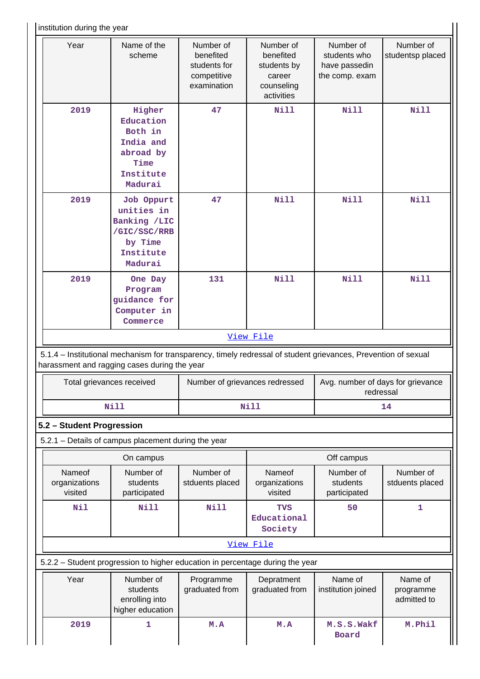institution during the year

| Year                                                                                             | Name of the<br>scheme                                                                                                                                          | Number of<br>benefited<br>students for<br>competitive<br>examination | Number of<br>benefited<br>students by<br>career<br>counseling<br>activities | Number of<br>students who<br>have passedin<br>the comp. exam | Number of<br>studentsp placed       |  |  |
|--------------------------------------------------------------------------------------------------|----------------------------------------------------------------------------------------------------------------------------------------------------------------|----------------------------------------------------------------------|-----------------------------------------------------------------------------|--------------------------------------------------------------|-------------------------------------|--|--|
| 2019<br>Higher<br>Education<br>Both in<br>India and<br>abroad by<br>Time<br>Institute<br>Madurai |                                                                                                                                                                | 47                                                                   | <b>Nill</b>                                                                 | <b>Nill</b>                                                  | <b>Nill</b>                         |  |  |
| 2019                                                                                             | Job Oppurt<br>unities in<br>Banking /LIC<br>/GIC/SSC/RRB<br>by Time<br>Institute<br>Madurai                                                                    | 47                                                                   | <b>Nill</b>                                                                 | <b>Nill</b>                                                  | <b>Nill</b>                         |  |  |
| 2019                                                                                             | One Day<br>Program<br>guidance for<br>Computer in<br>Commerce                                                                                                  | 131                                                                  | <b>Nill</b>                                                                 | <b>Nill</b>                                                  | <b>Nill</b>                         |  |  |
|                                                                                                  |                                                                                                                                                                |                                                                      | View File                                                                   |                                                              |                                     |  |  |
|                                                                                                  | 5.1.4 - Institutional mechanism for transparency, timely redressal of student grievances, Prevention of sexual<br>harassment and ragging cases during the year |                                                                      |                                                                             |                                                              |                                     |  |  |
|                                                                                                  | Total grievances received                                                                                                                                      | Number of grievances redressed                                       |                                                                             | Avg. number of days for grievance<br>redressal               |                                     |  |  |
|                                                                                                  | <b>Nill</b>                                                                                                                                                    |                                                                      | <b>Nill</b>                                                                 | 14                                                           |                                     |  |  |
| 5.2 - Student Progression                                                                        |                                                                                                                                                                |                                                                      |                                                                             |                                                              |                                     |  |  |
|                                                                                                  | 5.2.1 - Details of campus placement during the year                                                                                                            |                                                                      |                                                                             |                                                              |                                     |  |  |
|                                                                                                  | On campus                                                                                                                                                      |                                                                      |                                                                             | Off campus                                                   |                                     |  |  |
|                                                                                                  |                                                                                                                                                                |                                                                      |                                                                             |                                                              | Number of<br>stduents placed        |  |  |
| Nameof<br>organizations<br>visited                                                               | Number of<br>students<br>participated                                                                                                                          | Number of<br>stduents placed                                         | Nameof<br>organizations<br>visited                                          | Number of<br>students<br>participated                        |                                     |  |  |
| <b>Nil</b>                                                                                       | <b>Nill</b>                                                                                                                                                    | Nill                                                                 | <b>TVS</b><br>Educational<br>Society                                        | 50                                                           | 1                                   |  |  |
|                                                                                                  |                                                                                                                                                                |                                                                      | View File                                                                   |                                                              |                                     |  |  |
|                                                                                                  | 5.2.2 - Student progression to higher education in percentage during the year                                                                                  |                                                                      |                                                                             |                                                              |                                     |  |  |
| Year                                                                                             | Number of<br>students<br>enrolling into<br>higher education                                                                                                    | Programme<br>graduated from                                          | Depratment<br>graduated from                                                | Name of<br>institution joined                                | Name of<br>programme<br>admitted to |  |  |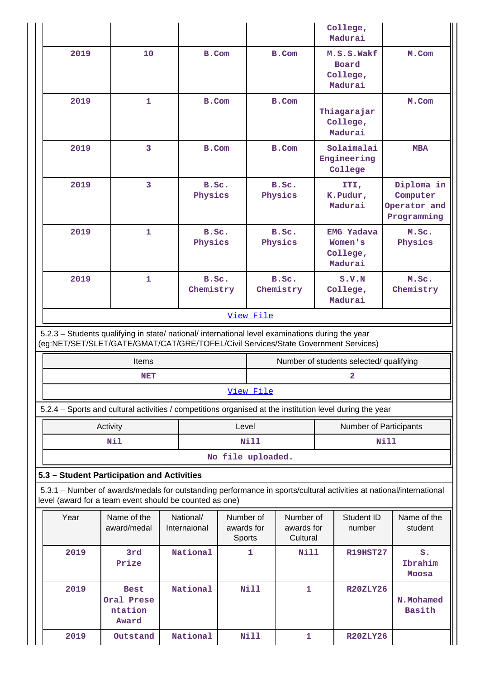|                                                                                                                                                                                        |                                               |                           |                                   |                    |                                     |  | College,<br>Madurai                                 |             |                                                       |
|----------------------------------------------------------------------------------------------------------------------------------------------------------------------------------------|-----------------------------------------------|---------------------------|-----------------------------------|--------------------|-------------------------------------|--|-----------------------------------------------------|-------------|-------------------------------------------------------|
| 2019                                                                                                                                                                                   | 10                                            | B.Com                     |                                   | <b>B.Com</b>       |                                     |  | M.S.S.Wakf<br>Board<br>College,<br>Madurai          |             | M.Com                                                 |
| 2019                                                                                                                                                                                   | $\mathbf 1$                                   | B.Com                     |                                   | <b>B.Com</b>       |                                     |  | Thiagarajar<br>College,<br>Madurai                  |             | M.Com                                                 |
| 2019                                                                                                                                                                                   | 3                                             | B.Com                     |                                   |                    | <b>B.Com</b>                        |  | Solaimalai<br>Engineering<br>College                |             | <b>MBA</b>                                            |
| 2019                                                                                                                                                                                   | 3                                             | B.Sc.<br>Physics          |                                   | B.Sc.<br>Physics   |                                     |  | ITI,<br>K.Pudur,<br>Madurai                         |             | Diploma in<br>Computer<br>Operator and<br>Programming |
| 2019                                                                                                                                                                                   | $\mathbf 1$                                   | B.Sc.<br>Physics          |                                   |                    | B.Sc.<br>Physics                    |  | <b>EMG Yadava</b><br>Women's<br>College,<br>Madurai |             | M.Sc.<br>Physics                                      |
| 2019                                                                                                                                                                                   | $\mathbf{1}$                                  | B.Sc.<br>Chemistry        |                                   | B.Sc.<br>Chemistry |                                     |  | S.V.N<br>College,<br>Madurai                        |             | M.Sc.<br>Chemistry                                    |
|                                                                                                                                                                                        |                                               |                           |                                   | View File          |                                     |  |                                                     |             |                                                       |
| 5.2.3 - Students qualifying in state/ national/ international level examinations during the year<br>(eg:NET/SET/SLET/GATE/GMAT/CAT/GRE/TOFEL/Civil Services/State Government Services) |                                               |                           |                                   |                    |                                     |  |                                                     |             |                                                       |
|                                                                                                                                                                                        | Items                                         |                           |                                   |                    |                                     |  | Number of students selected/ qualifying             |             |                                                       |
|                                                                                                                                                                                        | <b>NET</b>                                    |                           |                                   | $\mathbf{2}$       |                                     |  |                                                     |             |                                                       |
|                                                                                                                                                                                        |                                               |                           |                                   | View File          |                                     |  |                                                     |             |                                                       |
| 5.2.4 - Sports and cultural activities / competitions organised at the institution level during the year                                                                               |                                               |                           |                                   |                    |                                     |  |                                                     |             |                                                       |
|                                                                                                                                                                                        | Activity<br>Nil                               |                           | Level                             | <b>Nill</b>        |                                     |  | Number of Participants                              | <b>Nill</b> |                                                       |
|                                                                                                                                                                                        |                                               |                           | No file uploaded.                 |                    |                                     |  |                                                     |             |                                                       |
| 5.3 - Student Participation and Activities                                                                                                                                             |                                               |                           |                                   |                    |                                     |  |                                                     |             |                                                       |
| 5.3.1 - Number of awards/medals for outstanding performance in sports/cultural activities at national/international<br>level (award for a team event should be counted as one)         |                                               |                           |                                   |                    |                                     |  |                                                     |             |                                                       |
| Year                                                                                                                                                                                   | Name of the<br>award/medal                    | National/<br>Internaional | Number of<br>awards for<br>Sports |                    | Number of<br>awards for<br>Cultural |  | Student ID<br>number                                |             | Name of the<br>student                                |
| 2019                                                                                                                                                                                   | 3rd<br>Prize                                  | National                  |                                   | 1                  | Nill                                |  | <b>R19HST27</b>                                     |             | $S$ .<br>Ibrahim<br><b>Moosa</b>                      |
| 2019                                                                                                                                                                                   | <b>Best</b><br>Oral Prese<br>ntation<br>Award | National                  |                                   | <b>Nill</b>        | 1                                   |  | <b>R20ZLY26</b>                                     |             | N.Mohamed<br><b>Basith</b>                            |
| 2019                                                                                                                                                                                   | Outstand                                      | National                  |                                   | <b>Nill</b>        | 1                                   |  | <b>R20ZLY26</b>                                     |             |                                                       |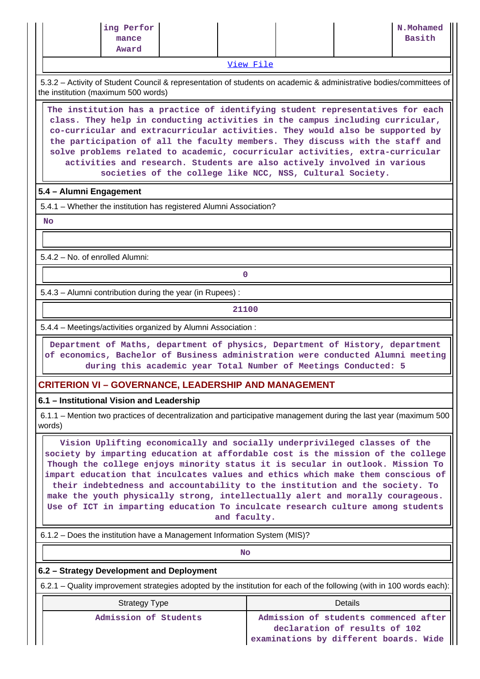| ing Perfor<br>N.Mohamed<br>Basith<br>mance<br>Award |  |
|-----------------------------------------------------|--|
|-----------------------------------------------------|--|

[View File](https://assessmentonline.naac.gov.in/public/Postacc/awards_in_activities/9012_awards_in_activities_1611292731.xlsx)

 5.3.2 – Activity of Student Council & representation of students on academic & administrative bodies/committees of the institution (maximum 500 words)

 **The institution has a practice of identifying student representatives for each class. They help in conducting activities in the campus including curricular, co-curricular and extracurricular activities. They would also be supported by the participation of all the faculty members. They discuss with the staff and solve problems related to academic, cocurricular activities, extra-curricular activities and research. Students are also actively involved in various societies of the college like NCC, NSS, Cultural Society.**

#### **5.4 – Alumni Engagement**

5.4.1 – Whether the institution has registered Alumni Association?

 **No**

5.4.2 – No. of enrolled Alumni:

**0**

5.4.3 – Alumni contribution during the year (in Rupees) :

**21100**

5.4.4 – Meetings/activities organized by Alumni Association :

 **Department of Maths, department of physics, Department of History, department of economics, Bachelor of Business administration were conducted Alumni meeting during this academic year Total Number of Meetings Conducted: 5**

# **CRITERION VI – GOVERNANCE, LEADERSHIP AND MANAGEMENT**

**6.1 – Institutional Vision and Leadership**

 6.1.1 – Mention two practices of decentralization and participative management during the last year (maximum 500 words)

 **Vision Uplifting economically and socially underprivileged classes of the society by imparting education at affordable cost is the mission of the college Though the college enjoys minority status it is secular in outlook. Mission To impart education that inculcates values and ethics which make them conscious of their indebtedness and accountability to the institution and the society. To make the youth physically strong, intellectually alert and morally courageous. Use of ICT in imparting education To inculcate research culture among students and faculty.**

6.1.2 – Does the institution have a Management Information System (MIS)?

**No. 2. In the case of the case of the case of the case of the case of the case of the case of the case of the case of the case of the case of the case of the case of the case of the case of the case of the case of the cas** 

#### **6.2 – Strategy Development and Deployment**

6.2.1 – Quality improvement strategies adopted by the institution for each of the following (with in 100 words each):

| <b>Strategy Type</b>  | Details                                                                |
|-----------------------|------------------------------------------------------------------------|
| Admission of Students | Admission of students commenced after<br>declaration of results of 102 |

**examinations by different boards. Wide**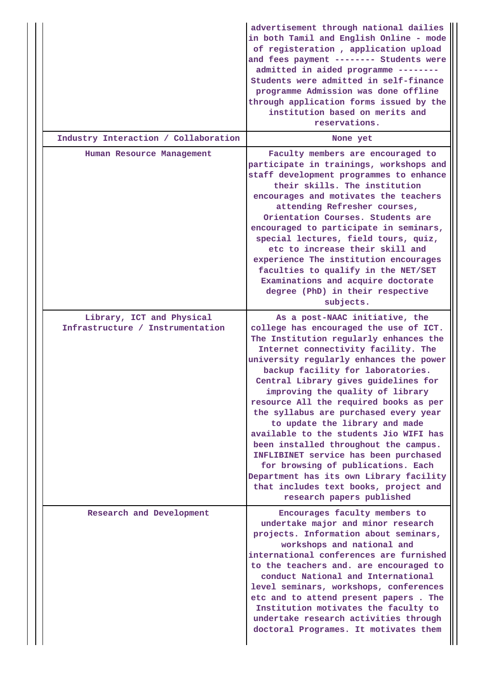|                                                               | advertisement through national dailies<br>in both Tamil and English Online - mode<br>of registeration, application upload<br>and fees payment -------- Students were<br>admitted in aided programme --------<br>Students were admitted in self-finance<br>programme Admission was done offline<br>through application forms issued by the<br>institution based on merits and<br>reservations.                                                                                                                                                                                                                                                                                                                                 |
|---------------------------------------------------------------|-------------------------------------------------------------------------------------------------------------------------------------------------------------------------------------------------------------------------------------------------------------------------------------------------------------------------------------------------------------------------------------------------------------------------------------------------------------------------------------------------------------------------------------------------------------------------------------------------------------------------------------------------------------------------------------------------------------------------------|
| Industry Interaction / Collaboration                          | None yet                                                                                                                                                                                                                                                                                                                                                                                                                                                                                                                                                                                                                                                                                                                      |
| Human Resource Management                                     | Faculty members are encouraged to<br>participate in trainings, workshops and<br>staff development programmes to enhance<br>their skills. The institution<br>encourages and motivates the teachers<br>attending Refresher courses,<br>Orientation Courses. Students are<br>encouraged to participate in seminars,<br>special lectures, field tours, quiz,<br>etc to increase their skill and<br>experience The institution encourages<br>faculties to qualify in the NET/SET<br>Examinations and acquire doctorate<br>degree (PhD) in their respective<br>subjects.                                                                                                                                                            |
| Library, ICT and Physical<br>Infrastructure / Instrumentation | As a post-NAAC initiative, the<br>college has encouraged the use of ICT.<br>The Institution regularly enhances the<br>Internet connectivity facility. The<br>university regularly enhances the power<br>backup facility for laboratories.<br>Central Library gives guidelines for<br>improving the quality of library<br>resource All the required books as per<br>the syllabus are purchased every year<br>to update the library and made<br>available to the students Jio WIFI has<br>been installed throughout the campus.<br>INFLIBINET service has been purchased<br>for browsing of publications. Each<br>Department has its own Library facility<br>that includes text books, project and<br>research papers published |
| Research and Development                                      | Encourages faculty members to<br>undertake major and minor research<br>projects. Information about seminars,<br>workshops and national and<br>international conferences are furnished<br>to the teachers and. are encouraged to<br>conduct National and International<br>level seminars, workshops, conferences<br>etc and to attend present papers. The<br>Institution motivates the faculty to<br>undertake research activities through<br>doctoral Programes. It motivates them                                                                                                                                                                                                                                            |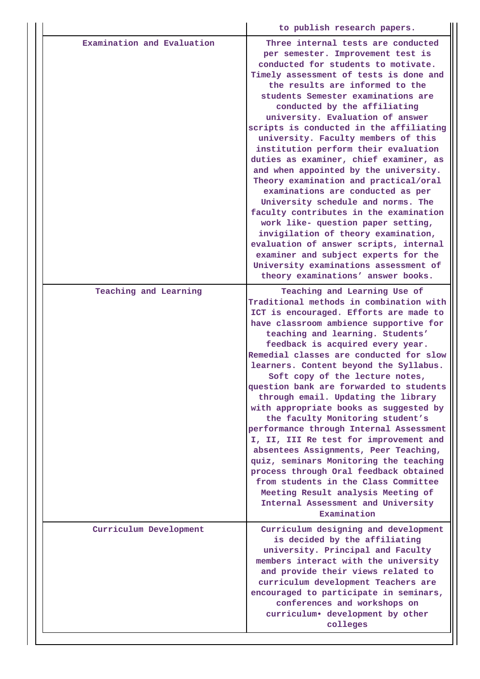|                            | to publish research papers.                                                                                                                                                                                                                                                                                                                                                                                                                                                                                                                                                                                                                                                                                                                                                                                                                                                                                                    |
|----------------------------|--------------------------------------------------------------------------------------------------------------------------------------------------------------------------------------------------------------------------------------------------------------------------------------------------------------------------------------------------------------------------------------------------------------------------------------------------------------------------------------------------------------------------------------------------------------------------------------------------------------------------------------------------------------------------------------------------------------------------------------------------------------------------------------------------------------------------------------------------------------------------------------------------------------------------------|
| Examination and Evaluation | Three internal tests are conducted<br>per semester. Improvement test is<br>conducted for students to motivate.<br>Timely assessment of tests is done and<br>the results are informed to the<br>students Semester examinations are<br>conducted by the affiliating<br>university. Evaluation of answer<br>scripts is conducted in the affiliating<br>university. Faculty members of this<br>institution perform their evaluation<br>duties as examiner, chief examiner, as<br>and when appointed by the university.<br>Theory examination and practical/oral<br>examinations are conducted as per<br>University schedule and norms. The<br>faculty contributes in the examination<br>work like- question paper setting,<br>invigilation of theory examination,<br>evaluation of answer scripts, internal<br>examiner and subject experts for the<br>University examinations assessment of<br>theory examinations' answer books. |
| Teaching and Learning      | Teaching and Learning Use of<br>Traditional methods in combination with<br>ICT is encouraged. Efforts are made to<br>have classroom ambience supportive for<br>teaching and learning. Students'<br>feedback is acquired every year.<br>Remedial classes are conducted for slow<br>learners. Content beyond the Syllabus.<br>Soft copy of the lecture notes,<br>question bank are forwarded to students<br>through email. Updating the library<br>with appropriate books as suggested by<br>the faculty Monitoring student's<br>performance through Internal Assessment<br>I, II, III Re test for improvement and<br>absentees Assignments, Peer Teaching,<br>quiz, seminars Monitoring the teaching<br>process through Oral feedback obtained<br>from students in the Class Committee<br>Meeting Result analysis Meeting of<br>Internal Assessment and University<br>Examination                                               |
| Curriculum Development     | Curriculum designing and development<br>is decided by the affiliating<br>university. Principal and Faculty<br>members interact with the university<br>and provide their views related to<br>curriculum development Teachers are<br>encouraged to participate in seminars,<br>conferences and workshops on<br>curriculum. development by other<br>colleges                                                                                                                                                                                                                                                                                                                                                                                                                                                                                                                                                                      |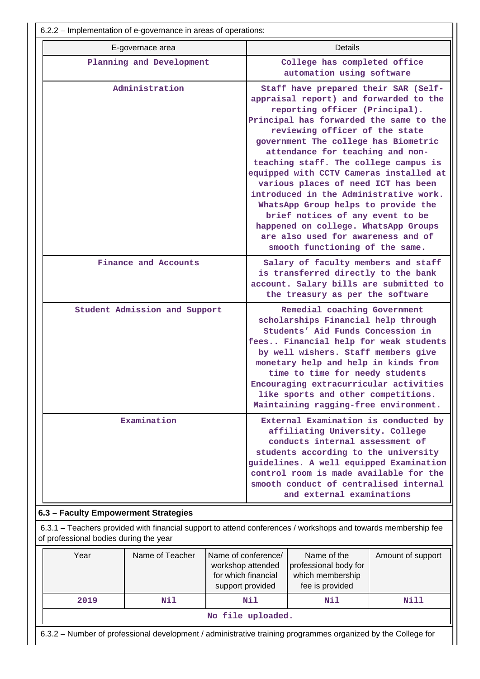| 6.2.2 – Implementation of e-governance in areas of operations: |                                                                                                                                                                                                                                                                                                                                                                                                                                                                                                                                                                                                                                            |  |  |  |  |  |
|----------------------------------------------------------------|--------------------------------------------------------------------------------------------------------------------------------------------------------------------------------------------------------------------------------------------------------------------------------------------------------------------------------------------------------------------------------------------------------------------------------------------------------------------------------------------------------------------------------------------------------------------------------------------------------------------------------------------|--|--|--|--|--|
| E-governace area                                               | Details                                                                                                                                                                                                                                                                                                                                                                                                                                                                                                                                                                                                                                    |  |  |  |  |  |
| Planning and Development                                       | College has completed office<br>automation using software                                                                                                                                                                                                                                                                                                                                                                                                                                                                                                                                                                                  |  |  |  |  |  |
| Administration                                                 | Staff have prepared their SAR (Self-<br>appraisal report) and forwarded to the<br>reporting officer (Principal).<br>Principal has forwarded the same to the<br>reviewing officer of the state<br>government The college has Biometric<br>attendance for teaching and non-<br>teaching staff. The college campus is<br>equipped with CCTV Cameras installed at<br>various places of need ICT has been<br>introduced in the Administrative work.<br>WhatsApp Group helps to provide the<br>brief notices of any event to be<br>happened on college. WhatsApp Groups<br>are also used for awareness and of<br>smooth functioning of the same. |  |  |  |  |  |
| Finance and Accounts                                           | Salary of faculty members and staff<br>is transferred directly to the bank<br>account. Salary bills are submitted to<br>the treasury as per the software                                                                                                                                                                                                                                                                                                                                                                                                                                                                                   |  |  |  |  |  |
| Student Admission and Support                                  | Remedial coaching Government<br>scholarships Financial help through<br>Students' Aid Funds Concession in<br>fees Financial help for weak students<br>by well wishers. Staff members give<br>monetary help and help in kinds from<br>time to time for needy students<br>Encouraging extracurricular activities<br>like sports and other competitions.<br>Maintaining ragging-free environment.                                                                                                                                                                                                                                              |  |  |  |  |  |
| Examination                                                    | External Examination is conducted by<br>affiliating University. College<br>conducts internal assessment of<br>students according to the university<br>guidelines. A well equipped Examination<br>control room is made available for the<br>smooth conduct of centralised internal<br>and external examinations                                                                                                                                                                                                                                                                                                                             |  |  |  |  |  |
| 6.3 - Faculty Empowerment Strategies                           |                                                                                                                                                                                                                                                                                                                                                                                                                                                                                                                                                                                                                                            |  |  |  |  |  |

 6.3.1 – Teachers provided with financial support to attend conferences / workshops and towards membership fee of professional bodies during the year

| Year | Name of Teacher | Name of conference/<br>workshop attended<br>for which financial<br>support provided | Name of the<br>professional body for<br>which membership<br>fee is provided | Amount of support |
|------|-----------------|-------------------------------------------------------------------------------------|-----------------------------------------------------------------------------|-------------------|
| 2019 | Nil             | Nil                                                                                 | Nil                                                                         | Nill              |
|      |                 | No file uploaded.                                                                   |                                                                             |                   |

6.3.2 – Number of professional development / administrative training programmes organized by the College for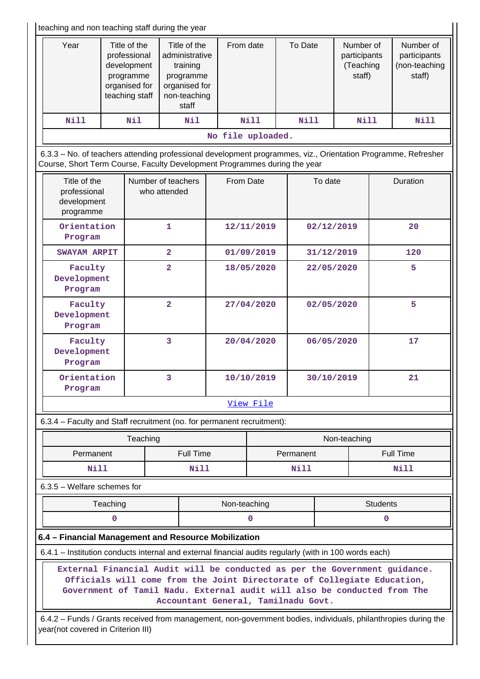$\overline{1}$ teaching and non teaching staff during the year

| teaching and non teaching staff during the year                                                                                                                                            |                                   |                                                                                             |                                                                                                   |                  |                   |                      |                                                                                                                |            |                                                  |                 |                                                      |
|--------------------------------------------------------------------------------------------------------------------------------------------------------------------------------------------|-----------------------------------|---------------------------------------------------------------------------------------------|---------------------------------------------------------------------------------------------------|------------------|-------------------|----------------------|----------------------------------------------------------------------------------------------------------------|------------|--------------------------------------------------|-----------------|------------------------------------------------------|
| Year                                                                                                                                                                                       |                                   | Title of the<br>professional<br>development<br>programme<br>organised for<br>teaching staff | Title of the<br>administrative<br>training<br>programme<br>organised for<br>non-teaching<br>staff |                  |                   | From date<br>To Date |                                                                                                                |            | Number of<br>participants<br>(Teaching<br>staff) |                 | Number of<br>participants<br>(non-teaching<br>staff) |
| Nill                                                                                                                                                                                       |                                   | Nil                                                                                         |                                                                                                   | Nil              |                   | Nill                 | <b>Nill</b>                                                                                                    |            | Nill                                             |                 | <b>Nill</b>                                          |
|                                                                                                                                                                                            |                                   |                                                                                             |                                                                                                   |                  | No file uploaded. |                      |                                                                                                                |            |                                                  |                 |                                                      |
| 6.3.3 - No. of teachers attending professional development programmes, viz., Orientation Programme, Refresher<br>Course, Short Term Course, Faculty Development Programmes during the year |                                   |                                                                                             |                                                                                                   |                  |                   |                      |                                                                                                                |            |                                                  |                 |                                                      |
| Title of the<br>professional<br>development<br>programme                                                                                                                                   |                                   | Number of teachers<br>who attended                                                          |                                                                                                   |                  | From Date         |                      |                                                                                                                | To date    |                                                  | Duration        |                                                      |
| Orientation<br>Program                                                                                                                                                                     |                                   |                                                                                             | 1                                                                                                 |                  |                   | 12/11/2019           |                                                                                                                | 02/12/2019 |                                                  |                 | 20                                                   |
| <b>SWAYAM ARPIT</b>                                                                                                                                                                        |                                   |                                                                                             | $\overline{\mathbf{2}}$                                                                           |                  |                   | 01/09/2019           |                                                                                                                | 31/12/2019 |                                                  |                 | 120                                                  |
| Faculty<br>Development<br>Program                                                                                                                                                          |                                   |                                                                                             | $\overline{\mathbf{2}}$                                                                           |                  |                   | 18/05/2020           |                                                                                                                | 22/05/2020 |                                                  |                 | 5                                                    |
|                                                                                                                                                                                            | Faculty<br>Development<br>Program |                                                                                             | $\overline{\mathbf{2}}$                                                                           |                  |                   | 27/04/2020           |                                                                                                                |            | 02/05/2020                                       |                 | 5                                                    |
| Faculty<br>Development<br>Program                                                                                                                                                          |                                   |                                                                                             | 3                                                                                                 |                  |                   | 20/04/2020           |                                                                                                                |            | 06/05/2020                                       |                 | 17                                                   |
| Orientation<br>Program                                                                                                                                                                     |                                   |                                                                                             | 3                                                                                                 |                  | 10/10/2019        |                      |                                                                                                                | 30/10/2019 |                                                  |                 | 21                                                   |
|                                                                                                                                                                                            |                                   |                                                                                             |                                                                                                   |                  |                   | View File            |                                                                                                                |            |                                                  |                 |                                                      |
| 6.3.4 - Faculty and Staff recruitment (no. for permanent recruitment):                                                                                                                     |                                   |                                                                                             |                                                                                                   |                  |                   |                      |                                                                                                                |            |                                                  |                 |                                                      |
|                                                                                                                                                                                            |                                   | Teaching                                                                                    |                                                                                                   |                  |                   |                      |                                                                                                                |            | Non-teaching                                     |                 |                                                      |
| Permanent                                                                                                                                                                                  |                                   |                                                                                             |                                                                                                   | <b>Full Time</b> |                   |                      | Permanent                                                                                                      |            |                                                  |                 | <b>Full Time</b>                                     |
| <b>Nill</b>                                                                                                                                                                                |                                   |                                                                                             |                                                                                                   | Nill             |                   |                      | Nill                                                                                                           |            |                                                  |                 | Nill                                                 |
| 6.3.5 - Welfare schemes for                                                                                                                                                                |                                   |                                                                                             |                                                                                                   |                  |                   |                      |                                                                                                                |            |                                                  |                 |                                                      |
|                                                                                                                                                                                            | Teaching                          |                                                                                             |                                                                                                   |                  | Non-teaching      |                      |                                                                                                                |            |                                                  | <b>Students</b> |                                                      |
|                                                                                                                                                                                            | $\mathbf 0$                       |                                                                                             |                                                                                                   |                  |                   | 0                    |                                                                                                                |            |                                                  | 0               |                                                      |
| 6.4 - Financial Management and Resource Mobilization                                                                                                                                       |                                   |                                                                                             |                                                                                                   |                  |                   |                      |                                                                                                                |            |                                                  |                 |                                                      |
| 6.4.1 – Institution conducts internal and external financial audits regularly (with in 100 words each)                                                                                     |                                   |                                                                                             |                                                                                                   |                  |                   |                      |                                                                                                                |            |                                                  |                 |                                                      |
| External Financial Audit will be conducted as per the Government guidance.<br>Government of Tamil Nadu. External audit will also be conducted from The                                     |                                   |                                                                                             |                                                                                                   |                  |                   |                      | Officials will come from the Joint Directorate of Collegiate Education,<br>Accountant General, Tamilnadu Govt. |            |                                                  |                 |                                                      |
| 6.4.2 - Funds / Grants received from management, non-government bodies, individuals, philanthropies during the<br>year(not covered in Criterion III)                                       |                                   |                                                                                             |                                                                                                   |                  |                   |                      |                                                                                                                |            |                                                  |                 |                                                      |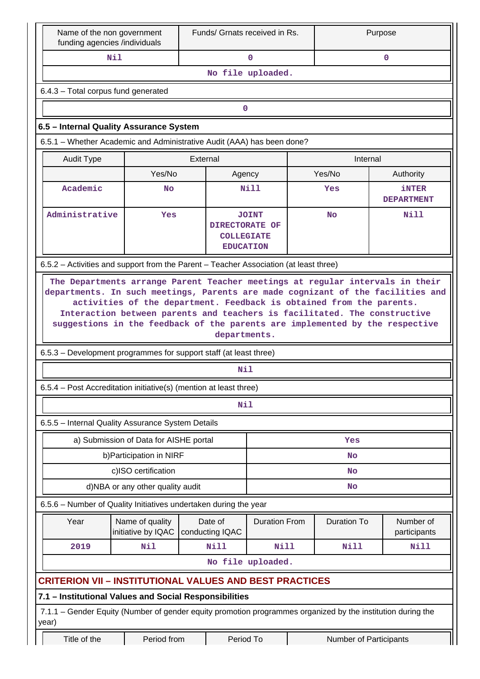| Name of the non government<br>funding agencies /individuals                                                                            |                                        | Funds/ Grnats received in Rs. |                                                       |  | Purpose            |                                   |  |  |  |  |
|----------------------------------------------------------------------------------------------------------------------------------------|----------------------------------------|-------------------------------|-------------------------------------------------------|--|--------------------|-----------------------------------|--|--|--|--|
|                                                                                                                                        | Nil                                    |                               | $\Omega$                                              |  |                    | $\Omega$                          |  |  |  |  |
| No file uploaded.                                                                                                                      |                                        |                               |                                                       |  |                    |                                   |  |  |  |  |
| 6.4.3 - Total corpus fund generated                                                                                                    |                                        |                               |                                                       |  |                    |                                   |  |  |  |  |
|                                                                                                                                        |                                        |                               | 0                                                     |  |                    |                                   |  |  |  |  |
| 6.5 - Internal Quality Assurance System                                                                                                |                                        |                               |                                                       |  |                    |                                   |  |  |  |  |
| 6.5.1 – Whether Academic and Administrative Audit (AAA) has been done?                                                                 |                                        |                               |                                                       |  |                    |                                   |  |  |  |  |
| External<br>Internal<br><b>Audit Type</b>                                                                                              |                                        |                               |                                                       |  |                    |                                   |  |  |  |  |
|                                                                                                                                        | Yes/No                                 |                               | Agency                                                |  | Yes/No             | Authority                         |  |  |  |  |
| Academic                                                                                                                               | <b>No</b>                              |                               | Nill                                                  |  | Yes                | <b>iNTER</b><br><b>DEPARTMENT</b> |  |  |  |  |
| Administrative                                                                                                                         | Yes                                    | <b>DIRECTORATE OF</b>         | <b>JOINT</b><br><b>COLLEGIATE</b><br><b>EDUCATION</b> |  | <b>No</b>          | Nill                              |  |  |  |  |
| 6.5.2 – Activities and support from the Parent – Teacher Association (at least three)                                                  |                                        |                               |                                                       |  |                    |                                   |  |  |  |  |
| 6.5.3 – Development programmes for support staff (at least three)<br>6.5.4 - Post Accreditation initiative(s) (mention at least three) |                                        | departments.<br>Nil           |                                                       |  |                    |                                   |  |  |  |  |
|                                                                                                                                        |                                        | <b>Nil</b>                    |                                                       |  |                    |                                   |  |  |  |  |
| 6.5.5 - Internal Quality Assurance System Details                                                                                      |                                        |                               |                                                       |  |                    |                                   |  |  |  |  |
|                                                                                                                                        | a) Submission of Data for AISHE portal |                               |                                                       |  | Yes                |                                   |  |  |  |  |
|                                                                                                                                        | b) Participation in NIRF               |                               |                                                       |  | <b>No</b>          |                                   |  |  |  |  |
|                                                                                                                                        | c)ISO certification                    |                               |                                                       |  | <b>No</b>          |                                   |  |  |  |  |
|                                                                                                                                        | d)NBA or any other quality audit       |                               | No                                                    |  |                    |                                   |  |  |  |  |
| 6.5.6 - Number of Quality Initiatives undertaken during the year                                                                       |                                        |                               |                                                       |  |                    |                                   |  |  |  |  |
| Year                                                                                                                                   | Name of quality<br>initiative by IQAC  | Date of<br>conducting IQAC    | <b>Duration From</b>                                  |  | <b>Duration To</b> | Number of<br>participants         |  |  |  |  |
| 2019                                                                                                                                   | Nil                                    | <b>Nill</b>                   | Nill                                                  |  | Nill               | <b>Nill</b>                       |  |  |  |  |
|                                                                                                                                        |                                        |                               | No file uploaded.                                     |  |                    |                                   |  |  |  |  |
| <b>CRITERION VII - INSTITUTIONAL VALUES AND BEST PRACTICES</b>                                                                         |                                        |                               |                                                       |  |                    |                                   |  |  |  |  |
| 7.1 - Institutional Values and Social Responsibilities                                                                                 |                                        |                               |                                                       |  |                    |                                   |  |  |  |  |
| 7.1.1 – Gender Equity (Number of gender equity promotion programmes organized by the institution during the<br>year)                   |                                        |                               |                                                       |  |                    |                                   |  |  |  |  |
| Title of the                                                                                                                           | Period from                            |                               | Period To<br>Number of Participants                   |  |                    |                                   |  |  |  |  |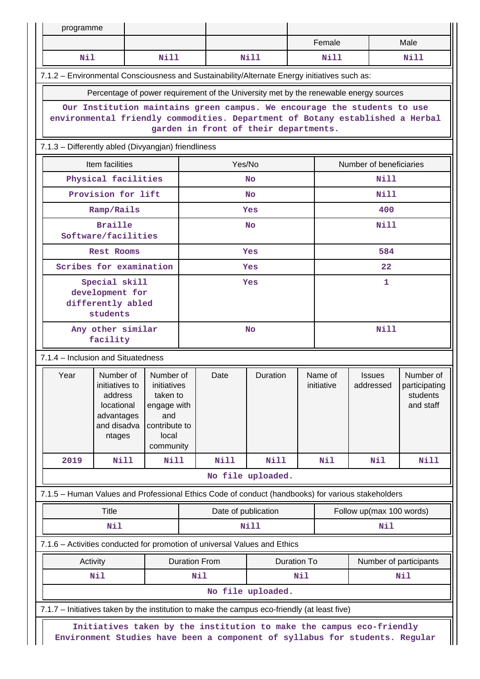| programme |                                                                                                   |                         |                      |                                       |                   |                                              |             |                          |                           |
|-----------|---------------------------------------------------------------------------------------------------|-------------------------|----------------------|---------------------------------------|-------------------|----------------------------------------------|-------------|--------------------------|---------------------------|
|           |                                                                                                   |                         |                      |                                       |                   |                                              | Female      |                          | Male                      |
| Nil       |                                                                                                   | Nill                    |                      |                                       | N <sub>i</sub> 11 |                                              | Nill        |                          | Nill                      |
|           | 7.1.2 - Environmental Consciousness and Sustainability/Alternate Energy initiatives such as:      |                         |                      |                                       |                   |                                              |             |                          |                           |
|           | Percentage of power requirement of the University met by the renewable energy sources             |                         |                      |                                       |                   |                                              |             |                          |                           |
|           | Our Institution maintains green campus. We encourage the students to use                          |                         |                      |                                       |                   |                                              |             |                          |                           |
|           | environmental friendly commodities. Department of Botany established a Herbal                     |                         |                      | garden in front of their departments. |                   |                                              |             |                          |                           |
|           | 7.1.3 - Differently abled (Divyangjan) friendliness                                               |                         |                      |                                       |                   |                                              |             |                          |                           |
|           | Item facilities                                                                                   |                         |                      | Yes/No                                |                   |                                              |             | Number of beneficiaries  |                           |
|           | Physical facilities                                                                               |                         |                      |                                       | <b>No</b>         |                                              |             | Nill                     |                           |
|           | Provision for lift                                                                                |                         |                      |                                       | <b>No</b>         |                                              |             | Nill                     |                           |
|           | Ramp/Rails                                                                                        |                         |                      |                                       | Yes               |                                              |             | 400                      |                           |
|           | <b>Braille</b><br>Software/facilities                                                             |                         |                      |                                       | <b>No</b>         |                                              |             | Nill                     |                           |
|           | <b>Rest Rooms</b>                                                                                 |                         |                      |                                       | Yes               |                                              |             | 584                      |                           |
|           | Scribes for examination                                                                           |                         |                      |                                       | Yes               |                                              |             | 22                       |                           |
|           | Special skill                                                                                     |                         |                      |                                       | Yes               |                                              | 1           |                          |                           |
|           | development for                                                                                   |                         |                      |                                       |                   |                                              |             |                          |                           |
|           | differently abled<br>students                                                                     |                         |                      |                                       |                   |                                              |             |                          |                           |
|           | Any other similar                                                                                 |                         | <b>No</b>            |                                       |                   |                                              | <b>Nill</b> |                          |                           |
|           | facility                                                                                          |                         |                      |                                       |                   |                                              |             |                          |                           |
|           | 7.1.4 – Inclusion and Situatedness                                                                |                         |                      |                                       |                   |                                              |             |                          |                           |
| Year      | Number of                                                                                         | Number of               |                      | Date                                  | Duration          |                                              | Name of     | <b>Issues</b>            | Number of                 |
|           | initiatives to<br>address                                                                         | initiatives<br>taken to |                      |                                       |                   |                                              | initiative  | addressed                | participating<br>students |
|           | locational                                                                                        | engage with             |                      |                                       |                   |                                              |             |                          | and staff                 |
|           | advantages                                                                                        | and                     |                      |                                       |                   |                                              |             |                          |                           |
|           | and disadva<br>ntages                                                                             | contribute to<br>local  |                      |                                       |                   |                                              |             |                          |                           |
|           |                                                                                                   | community               |                      |                                       |                   |                                              |             |                          |                           |
| 2019      | <b>Nill</b>                                                                                       | Nill                    |                      | <b>Nill</b>                           | <b>Nill</b>       |                                              | Nil         | Nil                      | <b>Nill</b>               |
|           |                                                                                                   |                         |                      |                                       | No file uploaded. |                                              |             |                          |                           |
|           | 7.1.5 - Human Values and Professional Ethics Code of conduct (handbooks) for various stakeholders |                         |                      |                                       |                   |                                              |             |                          |                           |
|           | <b>Title</b>                                                                                      |                         |                      | Date of publication                   |                   |                                              |             | Follow up(max 100 words) |                           |
|           | Nil                                                                                               |                         |                      |                                       | <b>Nill</b>       |                                              |             | Nil                      |                           |
|           | 7.1.6 - Activities conducted for promotion of universal Values and Ethics                         |                         |                      |                                       |                   |                                              |             |                          |                           |
|           | Activity                                                                                          |                         | <b>Duration From</b> |                                       |                   | <b>Duration To</b><br>Number of participants |             |                          |                           |
|           | Nil                                                                                               |                         | Nil                  |                                       |                   | Nil                                          |             |                          | Nil                       |
|           |                                                                                                   |                         |                      |                                       | No file uploaded. |                                              |             |                          |                           |
|           | 7.1.7 - Initiatives taken by the institution to make the campus eco-friendly (at least five)      |                         |                      |                                       |                   |                                              |             |                          |                           |
|           | Initiatives taken by the institution to make the campus eco-friendly                              |                         |                      |                                       |                   |                                              |             |                          |                           |
|           | Environment Studies have been a component of syllabus for students. Regular                       |                         |                      |                                       |                   |                                              |             |                          |                           |